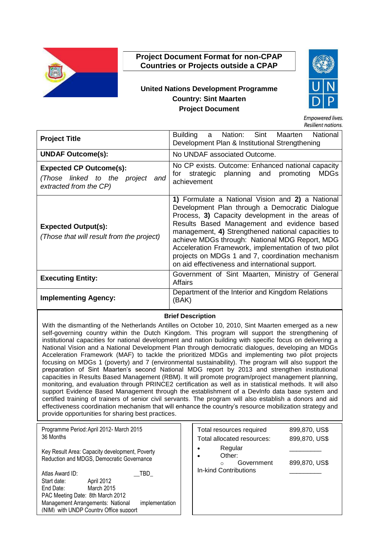

# **Project Document Format for non-CPAP Countries or Projects outside a CPAP**

# **United Nations Development Programme Country: Sint Maarten Project Document**



**Empowered lives. Resilient nations** 

| <b>Project Title</b>                                                                         | Building a Nation: Sint Maarten<br>National<br>Development Plan & Institutional Strengthening                                                                                                                                                                                                                                                                                                                                                                               |
|----------------------------------------------------------------------------------------------|-----------------------------------------------------------------------------------------------------------------------------------------------------------------------------------------------------------------------------------------------------------------------------------------------------------------------------------------------------------------------------------------------------------------------------------------------------------------------------|
| <b>UNDAF Outcome(s):</b>                                                                     | No UNDAF associated Outcome.                                                                                                                                                                                                                                                                                                                                                                                                                                                |
| <b>Expected CP Outcome(s):</b><br>(Those linked to the project and<br>extracted from the CP) | No CP exists. Outcome: Enhanced national capacity<br>strategic planning and promoting<br><b>MDGs</b><br>for<br>achievement                                                                                                                                                                                                                                                                                                                                                  |
| <b>Expected Output(s):</b><br>(Those that will result from the project)                      | 1) Formulate a National Vision and 2) a National<br>Development Plan through a Democratic Dialogue<br>Process, 3) Capacity development in the areas of<br>Results Based Management and evidence based<br>management, 4) Strengthened national capacities to<br>achieve MDGs through: National MDG Report, MDG<br>Acceleration Framework, implementation of two pilot<br>projects on MDGs 1 and 7, coordination mechanism<br>on aid effectiveness and international support. |
| <b>Executing Entity:</b>                                                                     | Government of Sint Maarten, Ministry of General<br>Affairs                                                                                                                                                                                                                                                                                                                                                                                                                  |
| <b>Implementing Agency:</b>                                                                  | Department of the Interior and Kingdom Relations<br>(BAK)                                                                                                                                                                                                                                                                                                                                                                                                                   |

#### **Brief Description**

With the dismantling of the Netherlands Antilles on October 10, 2010, Sint Maarten emerged as a new self-governing country within the Dutch Kingdom. This program will support the strengthening of institutional capacities for national development and nation building with specific focus on delivering a National Vision and a National Development Plan through democratic dialogues, developing an MDGs Acceleration Framework (MAF) to tackle the prioritized MDGs and implementing two pilot projects focusing on MDGs 1 (poverty) and 7 (environmental sustainability). The program will also support the preparation of Sint Maarten's second National MDG report by 2013 and strengthen institutional capacities in Results Based Management (RBM). It will promote program/project management planning, monitoring, and evaluation through PRINCE2 certification as well as in statistical methods. It will also support Evidence Based Management through the establishment of a DevInfo data base system and certified training of trainers of senior civil servants. The program will also establish a donors and aid effectiveness coordination mechanism that will enhance the country's resource mobilization strategy and provide opportunities for sharing best practices.

| Programme Period: April 2012- March 2015<br>36 Months      | Total resources required   | 899,870, US\$ |
|------------------------------------------------------------|----------------------------|---------------|
|                                                            | Total allocated resources: | 899,870, US\$ |
| Key Result Area: Capacity development, Poverty             | Regular<br>Other:          |               |
| Reduction and MDGS, Democratic Governance                  | Government<br>$\Omega$     | 899,870, US\$ |
| Atlas Award ID:<br>TBD                                     | In-kind Contributions      |               |
| Start date:<br>April 2012                                  |                            |               |
| March 2015<br>End Date:                                    |                            |               |
| PAC Meeting Date: 8th March 2012                           |                            |               |
| Management Arrangements: National<br><i>implementation</i> |                            |               |
| (NIM) with UNDP Country Office support                     |                            |               |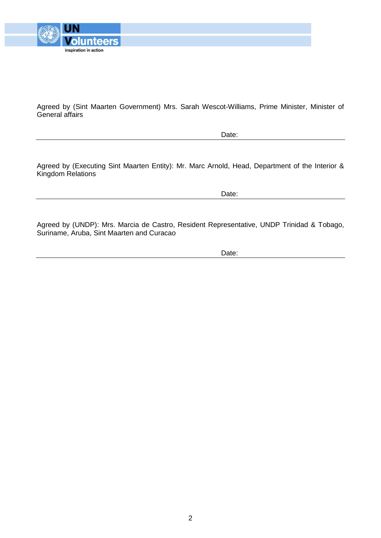

Agreed by (Sint Maarten Government) Mrs. Sarah Wescot-Williams, Prime Minister, Minister of General affairs

Date:

Agreed by (Executing Sint Maarten Entity): Mr. Marc Arnold, Head, Department of the Interior & Kingdom Relations

Date:

Agreed by (UNDP): Mrs. Marcia de Castro, Resident Representative, UNDP Trinidad & Tobago, Suriname, Aruba, Sint Maarten and Curacao

Date: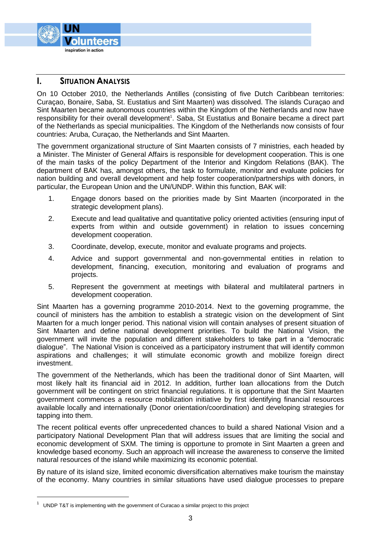

## **I. SITUATION ANALYSIS**

On 10 October 2010, the Netherlands Antilles (consisting of five Dutch Caribbean territories: Curaçao, Bonaire, Saba, St. Eustatius and Sint Maarten) was dissolved. The islands Curaçao and Sint Maarten became autonomous countries within the Kingdom of the Netherlands and now have responsibility for their overall development<sup>1</sup>. Saba, St Eustatius and Bonaire became a direct part of the Netherlands as special municipalities. The Kingdom of the Netherlands now consists of four countries: Aruba, Curaçao, the Netherlands and Sint Maarten.

The government organizational structure of Sint Maarten consists of 7 ministries, each headed by a Minister. The Minister of General Affairs is responsible for development cooperation. This is one of the main tasks of the policy Department of the Interior and Kingdom Relations (BAK). The department of BAK has, amongst others, the task to formulate, monitor and evaluate policies for nation building and overall development and help foster cooperation/partnerships with donors, in particular, the European Union and the UN/UNDP. Within this function, BAK will:

- 1. Engage donors based on the priorities made by Sint Maarten (incorporated in the strategic development plans).
- 2. Execute and lead qualitative and quantitative policy oriented activities (ensuring input of experts from within and outside government) in relation to issues concerning development cooperation.
- 3. Coordinate, develop, execute, monitor and evaluate programs and projects.
- 4. Advice and support governmental and non-governmental entities in relation to development, financing, execution, monitoring and evaluation of programs and projects.
- 5. Represent the government at meetings with bilateral and multilateral partners in development cooperation.

Sint Maarten has a governing programme 2010-2014. Next to the governing programme, the council of ministers has the ambition to establish a strategic vision on the development of Sint Maarten for a much longer period. This national vision will contain analyses of present situation of Sint Maarten and define national development priorities. To build the National Vision, the government will invite the population and different stakeholders to take part in a "democratic dialogue". The National Vision is conceived as a participatory instrument that will identify common aspirations and challenges; it will stimulate economic growth and mobilize foreign direct investment.

The government of the Netherlands, which has been the traditional donor of Sint Maarten, will most likely halt its financial aid in 2012. In addition, further loan allocations from the Dutch government will be contingent on strict financial regulations. It is opportune that the Sint Maarten government commences a resource mobilization initiative by first identifying financial resources available locally and internationally (Donor orientation/coordination) and developing strategies for tapping into them.

The recent political events offer unprecedented chances to build a shared National Vision and a participatory National Development Plan that will address issues that are limiting the social and economic development of SXM. The timing is opportune to promote in Sint Maarten a green and knowledge based economy. Such an approach will increase the awareness to conserve the limited natural resources of the island while maximizing its economic potential.

By nature of its island size, limited economic diversification alternatives make tourism the mainstay of the economy. Many countries in similar situations have used dialogue processes to prepare

 $\overline{a}$ 

 $1$  UNDP T&T is implementing with the government of Curacao a similar project to this project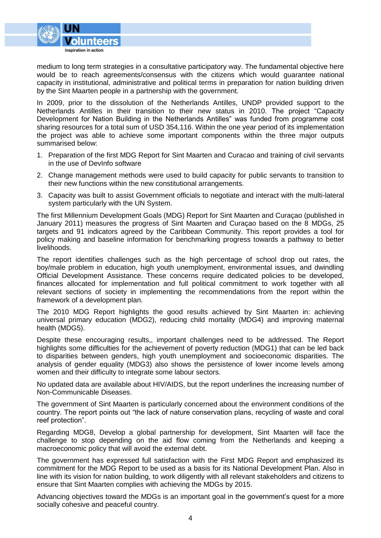

medium to long term strategies in a consultative participatory way. The fundamental objective here would be to reach agreements/consensus with the citizens which would guarantee national capacity in institutional, administrative and political terms in preparation for nation building driven by the Sint Maarten people in a partnership with the government.

In 2009, prior to the dissolution of the Netherlands Antilles, UNDP provided support to the Netherlands Antilles in their transition to their new status in 2010. The project "Capacity Development for Nation Building in the Netherlands Antilles" was funded from programme cost sharing resources for a total sum of USD 354,116. Within the one year period of its implementation the project was able to achieve some important components within the three major outputs summarised below:

- 1. Preparation of the first MDG Report for Sint Maarten and Curacao and training of civil servants in the use of DevInfo software
- 2. Change management methods were used to build capacity for public servants to transition to their new functions within the new constitutional arrangements.
- 3. Capacity was built to assist Government officials to negotiate and interact with the multi-lateral system particularly with the UN System.

The first Millennium Development Goals (MDG) Report for Sint Maarten and Curaçao (published in January 2011) measures the progress of Sint Maarten and Curaçao based on the 8 MDGs, 25 targets and 91 indicators agreed by the Caribbean Community. This report provides a tool for policy making and baseline information for benchmarking progress towards a pathway to better livelihoods.

The report identifies challenges such as the high percentage of school drop out rates, the boy/male problem in education, high youth unemployment, environmental issues, and dwindling Official Development Assistance. These concerns require dedicated policies to be developed, finances allocated for implementation and full political commitment to work together with all relevant sections of society in implementing the recommendations from the report within the framework of a development plan.

The 2010 MDG Report highlights the good results achieved by Sint Maarten in: achieving universal primary education (MDG2), reducing child mortality (MDG4) and improving maternal health (MDG5).

Despite these encouraging results,, important challenges need to be addressed. The Report highlights some difficulties for the achievement of poverty reduction (MDG1) that can be led back to disparities between genders, high youth unemployment and socioeconomic disparities. The analysis of gender equality (MDG3) also shows the persistence of lower income levels among women and their difficulty to integrate some labour sectors.

No updated data are available about HIV/AIDS, but the report underlines the increasing number of Non-Communicable Diseases.

The government of Sint Maarten is particularly concerned about the environment conditions of the country. The report points out "the lack of nature conservation plans, recycling of waste and coral reef protection".

Regarding MDG8, Develop a global partnership for development, Sint Maarten will face the challenge to stop depending on the aid flow coming from the Netherlands and keeping a macroeconomic policy that will avoid the external debt.

The government has expressed full satisfaction with the First MDG Report and emphasized its commitment for the MDG Report to be used as a basis for its National Development Plan. Also in line with its vision for nation building, to work diligently with all relevant stakeholders and citizens to ensure that Sint Maarten complies with achieving the MDGs by 2015.

Advancing objectives toward the MDGs is an important goal in the government's quest for a more socially cohesive and peaceful country.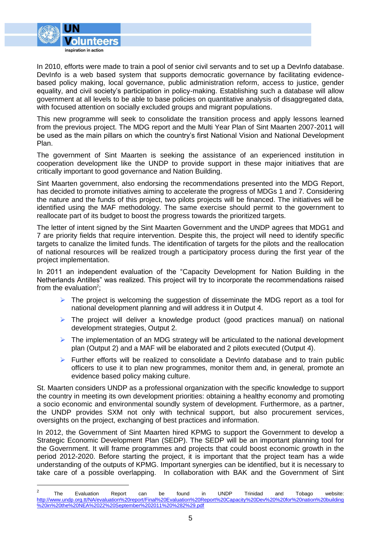

 $\overline{a}$ 

In 2010, efforts were made to train a pool of senior civil servants and to set up a DevInfo database. DevInfo is a web based system that supports democratic governance by facilitating evidencebased policy making, local governance, public administration reform, access to justice, gender equality, and civil society's participation in policy-making. Establishing such a database will allow government at all levels to be able to base policies on quantitative analysis of disaggregated data, with focused attention on socially excluded groups and migrant populations.

This new programme will seek to consolidate the transition process and apply lessons learned from the previous project. The MDG report and the Multi Year Plan of Sint Maarten 2007-2011 will be used as the main pillars on which the country's first National Vision and National Development Plan.

The government of Sint Maarten is seeking the assistance of an experienced institution in cooperation development like the UNDP to provide support in these major initiatives that are critically important to good governance and Nation Building.

Sint Maarten government, also endorsing the recommendations presented into the MDG Report, has decided to promote initiatives aiming to accelerate the progress of MDGs 1 and 7. Considering the nature and the funds of this project, two pilots projects will be financed. The initiatives will be identified using the MAF methodology. The same exercise should permit to the government to reallocate part of its budget to boost the progress towards the prioritized targets.

The letter of intent signed by the Sint Maarten Government and the UNDP agrees that MDG1 and 7 are priority fields that require intervention. Despite this, the project will need to identify specific targets to canalize the limited funds. The identification of targets for the pilots and the reallocation of national resources will be realized trough a participatory process during the first year of the project implementation.

In 2011 an independent evaluation of the "Capacity Development for Nation Building in the Netherlands Antilles" was realized. This project will try to incorporate the recommendations raised from the evaluation<sup>2</sup>;

- $\triangleright$  The project is welcoming the suggestion of disseminate the MDG report as a tool for national development planning and will address it in Output 4.
- $\triangleright$  The project will deliver a knowledge product (good practices manual) on national development strategies, Output 2.
- $\triangleright$  The implementation of an MDG strategy will be articulated to the national development plan (Output 2) and a MAF will be elaborated and 2 pilots executed (Output 4).
- $\triangleright$  Further efforts will be realized to consolidate a DevInfo database and to train public officers to use it to plan new programmes, monitor them and, in general, promote an evidence based policy making culture.

St. Maarten considers UNDP as a professional organization with the specific knowledge to support the country in meeting its own development priorities: obtaining a healthy economy and promoting a socio economic and environmental soundly system of development. Furthermore, as a partner, the UNDP provides SXM not only with technical support, but also procurement services, oversights on the project, exchanging of best practices and information.

In 2012, the Government of Sint Maarten hired KPMG to support the Government to develop a Strategic Economic Development Plan (SEDP). The SEDP will be an important planning tool for the Government. It will frame programmes and projects that could boost economic growth in the period 2012-2020. Before starting the project, it is important that the project team has a wide understanding of the outputs of KPMG. Important synergies can be identified, but it is necessary to take care of a possible overlapping. In collaboration with BAK and the Government of Sint

<sup>2</sup> The Evaluation Report can be found in UNDP Trinidad and Tobago website: [http://www.undp.org.tt/NA/evaluation%20report/Final%20Evaluation%20Report%20Capacity%20Dev%20%20for%20nation%20building](http://www.undp.org.tt/NA/evaluation%20report/Final%20Evaluation%20Report%20Capacity%20Dev%20%20for%20nation%20building%20in%20the%20NEA%2022%20September%202011%20%282%29.pdf) [%20in%20the%20NEA%2022%20September%202011%20%282%29.pdf](http://www.undp.org.tt/NA/evaluation%20report/Final%20Evaluation%20Report%20Capacity%20Dev%20%20for%20nation%20building%20in%20the%20NEA%2022%20September%202011%20%282%29.pdf)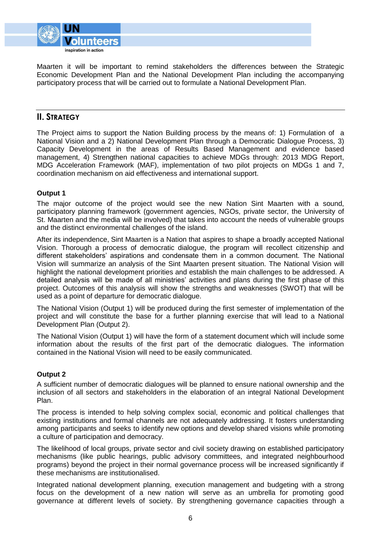

Maarten it will be important to remind stakeholders the differences between the Strategic Economic Development Plan and the National Development Plan including the accompanying participatory process that will be carried out to formulate a National Development Plan.

# **II. STRATEGY**

The Project aims to support the Nation Building process by the means of: 1) Formulation of a National Vision and a 2) National Development Plan through a Democratic Dialogue Process, 3) Capacity Development in the areas of Results Based Management and evidence based management, 4) Strengthen national capacities to achieve MDGs through: 2013 MDG Report, MDG Acceleration Framework (MAF), implementation of two pilot projects on MDGs 1 and 7, coordination mechanism on aid effectiveness and international support.

#### **Output 1**

The major outcome of the project would see the new Nation Sint Maarten with a sound, participatory planning framework (government agencies, NGOs, private sector, the University of St. Maarten and the media will be involved) that takes into account the needs of vulnerable groups and the distinct environmental challenges of the island.

After its independence, Sint Maarten is a Nation that aspires to shape a broadly accepted National Vision. Thorough a process of democratic dialogue, the program will recollect citizenship and different stakeholders' aspirations and condensate them in a common document. The National Vision will summarize an analysis of the Sint Maarten present situation. The National Vision will highlight the national development priorities and establish the main challenges to be addressed. A detailed analysis will be made of all ministries' activities and plans during the first phase of this project. Outcomes of this analysis will show the strengths and weaknesses (SWOT) that will be used as a point of departure for democratic dialogue.

The National Vision (Output 1) will be produced during the first semester of implementation of the project and will constitute the base for a further planning exercise that will lead to a National Development Plan (Output 2).

The National Vision (Output 1) will have the form of a statement document which will include some information about the results of the first part of the democratic dialogues. The information contained in the National Vision will need to be easily communicated.

#### **Output 2**

A sufficient number of democratic dialogues will be planned to ensure national ownership and the inclusion of all sectors and stakeholders in the elaboration of an integral National Development Plan.

The process is intended to help solving complex social, economic and political challenges that existing institutions and formal channels are not adequately addressing. It fosters understanding among participants and seeks to identify new options and develop shared visions while promoting a culture of participation and democracy.

The likelihood of local groups, private sector and civil society drawing on established participatory mechanisms (like public hearings, public advisory committees, and integrated neighbourhood programs) beyond the project in their normal governance process will be increased significantly if these mechanisms are institutionalised.

Integrated national development planning, execution management and budgeting with a strong focus on the development of a new nation will serve as an umbrella for promoting good governance at different levels of society. By strengthening governance capacities through a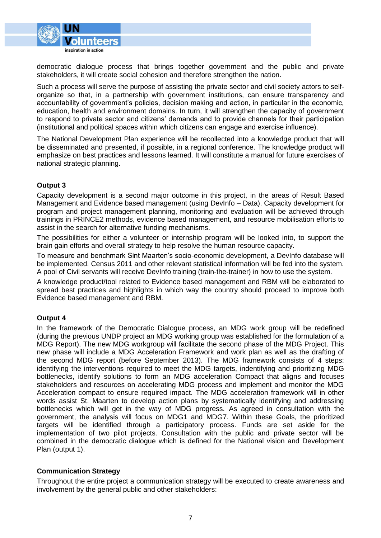

democratic dialogue process that brings together government and the public and private stakeholders, it will create social cohesion and therefore strengthen the nation.

Such a process will serve the purpose of assisting the private sector and civil society actors to selforganize so that, in a partnership with government institutions, can ensure transparency and accountability of government's policies, decision making and action, in particular in the economic, education, health and environment domains. In turn, it will strengthen the capacity of government to respond to private sector and citizens' demands and to provide channels for their participation (institutional and political spaces within which citizens can engage and exercise influence).

The National Development Plan experience will be recollected into a knowledge product that will be disseminated and presented, if possible, in a regional conference. The knowledge product will emphasize on best practices and lessons learned. It will constitute a manual for future exercises of national strategic planning.

#### **Output 3**

Capacity development is a second major outcome in this project, in the areas of Result Based Management and Evidence based management (using DevInfo – Data). Capacity development for program and project management planning, monitoring and evaluation will be achieved through trainings in PRINCE2 methods, evidence based management, and resource mobilisation efforts to assist in the search for alternative funding mechanisms.

The possibilities for either a volunteer or internship program will be looked into, to support the brain gain efforts and overall strategy to help resolve the human resource capacity.

To measure and benchmark Sint Maarten's socio-economic development, a DevInfo database will be implemented. Census 2011 and other relevant statistical information will be fed into the system. A pool of Civil servants will receive DevInfo training (train-the-trainer) in how to use the system.

A knowledge product/tool related to Evidence based management and RBM will be elaborated to spread best practices and highlights in which way the country should proceed to improve both Evidence based management and RBM.

#### **Output 4**

In the framework of the Democratic Dialogue process, an MDG work group will be redefined (during the previous UNDP project an MDG working group was established for the formulation of a MDG Report). The new MDG workgroup will facilitate the second phase of the MDG Project. This new phase will include a MDG Acceleration Framework and work plan as well as the drafting of the second MDG report (before September 2013). The MDG framework consists of 4 steps: identifying the interventions required to meet the MDG targets, indentifying and prioritizing MDG bottlenecks, identify solutions to form an MDG acceleration Compact that aligns and focuses stakeholders and resources on accelerating MDG process and implement and monitor the MDG Acceleration compact to ensure required impact. The MDG acceleration framework will in other words assist St. Maarten to develop action plans by systematically identifying and addressing bottlenecks which will get in the way of MDG progress. As agreed in consultation with the government, the analysis will focus on MDG1 and MDG7. Within these Goals, the prioritized targets will be identified through a participatory process. Funds are set aside for the implementation of two pilot projects. Consultation with the public and private sector will be combined in the democratic dialogue which is defined for the National vision and Development Plan (output 1).

#### **Communication Strategy**

Throughout the entire project a communication strategy will be executed to create awareness and involvement by the general public and other stakeholders: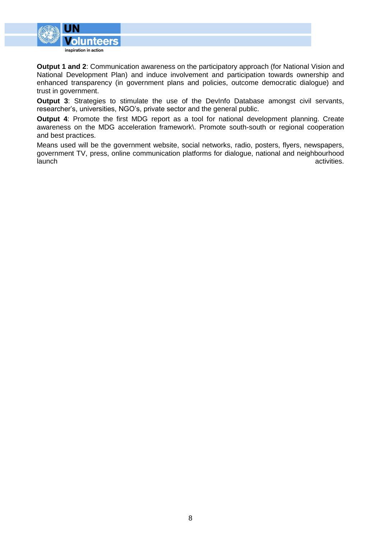

**Output 1 and 2**: Communication awareness on the participatory approach (for National Vision and National Development Plan) and induce involvement and participation towards ownership and enhanced transparency (in government plans and policies, outcome democratic dialogue) and trust in government.

**Output 3**: Strategies to stimulate the use of the DevInfo Database amongst civil servants, researcher's, universities, NGO's, private sector and the general public.

**Output 4**: Promote the first MDG report as a tool for national development planning. Create awareness on the MDG acceleration framework\. Promote south-south or regional cooperation and best practices.

Means used will be the government website, social networks, radio, posters, flyers, newspapers, government TV, press, online communication platforms for dialogue, national and neighbourhood launch activities.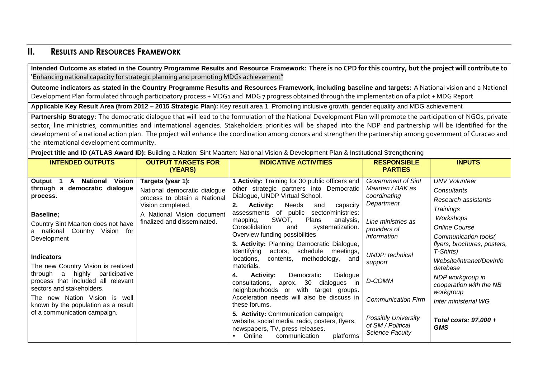# **II. RESULTS AND RESOURCES FRAMEWORK**

**Intended Outcome as stated in the Country Programme Results and Resource Framework: There is no CPD for this country, but the project will contribute to '**Enhancing national capacity for strategic planning and promoting MDGs achievement"

**Outcome indicators as stated in the Country Programme Results and Resources Framework, including baseline and targets:** A National vision and a National Development Plan formulated through participatory process + MDG1 and MDG 7 progress obtained through the implementation of a pilot + MDG Report

**Applicable Key Result Area (from 2012 – 2015 Strategic Plan):** Key result area 1. Promoting inclusive growth, gender equality and MDG achievement

Partnership Strategy: The democratic dialogue that will lead to the formulation of the National Development Plan will promote the participation of NGOs, private sector, line ministries, communities and international agencies. Stakeholders priorities will be shaped into the NDP and partnership will be identified for the development of a national action plan. The project will enhance the coordination among donors and strengthen the partnership among government of Curacao and the international development community.

**Project title and ID (ATLAS Award ID):** Building a Nation: Sint Maarten: National Vision & Development Plan & Institutional Strengthening

| <b>INTENDED OUTPUTS</b>                                                                                                                                                                                                                         | <b>OUTPUT TARGETS FOR</b><br>(YEARS)                                                                                                                                | <b>INDICATIVE ACTIVITIES</b>                                                                                                                                                                                                                                                                                                                                                                                                                                 | <b>RESPONSIBLE</b><br><b>PARTIES</b>                                                                                                                       | <b>INPUTS</b>                                                                                                                                                                                  |
|-------------------------------------------------------------------------------------------------------------------------------------------------------------------------------------------------------------------------------------------------|---------------------------------------------------------------------------------------------------------------------------------------------------------------------|--------------------------------------------------------------------------------------------------------------------------------------------------------------------------------------------------------------------------------------------------------------------------------------------------------------------------------------------------------------------------------------------------------------------------------------------------------------|------------------------------------------------------------------------------------------------------------------------------------------------------------|------------------------------------------------------------------------------------------------------------------------------------------------------------------------------------------------|
| National<br><b>Vision</b><br>Output<br>A<br>through a democratic dialogue<br>process.<br>Baseline;<br>Country Sint Maarten does not have<br>national Country Vision for<br>Development<br><b>Indicators</b>                                     | Targets (year 1):<br>National democratic dialogue<br>process to obtain a National<br>Vision completed.<br>A National Vision document<br>finalized and disseminated. | 1 Activity: Training for 30 public officers and<br>other strategic partners into Democratic<br>Dialogue, UNDP Virtual School.<br><b>Activity:</b><br>Needs<br>2.<br>capacity<br>and<br>assessments of public<br>sector/ministries:<br>SWOT,<br>Plans<br>analysis,<br>mapping,<br>Consolidation<br>systematization.<br>and<br>Overview funding possibilities<br>3. Activity: Planning Democratic Dialogue,<br>Identifying<br>schedule<br>actors,<br>meetings, | <b>Government of Sint</b><br>Maarten / BAK as<br>coordinating<br>Department<br>Line ministries as<br>providers of<br>information<br><b>UNDP:</b> technical | <b>UNV Volunteer</b><br><b>Consultants</b><br>Research assistants<br><b>Trainings</b><br>Workshops<br><b>Online Course</b><br>Communication tools(<br>flyers, brochures, posters,<br>T-Shirts) |
| The new Country Vision is realized<br>through a highly participative<br>process that included all relevant<br>sectors and stakeholders.<br>The new Nation Vision is well<br>known by the population as a result<br>of a communication campaign. |                                                                                                                                                                     | contents, methodology,<br>locations,<br>and<br>materials.<br><b>Activity:</b><br>Democratic<br>Dialogue<br>4.<br>consultations, aprox. 30<br>dialogues in<br>neighbourhoods or with<br>target groups.<br>Acceleration needs will also be discuss in<br>these forums.<br>5. Activity: Communication campaign;<br>website, social media, radio, posters, flyers,<br>newspapers, TV, press releases.<br>platforms<br>Online<br>communication                    | support<br>D-COMM<br><b>Communication Firm</b><br><b>Possibly University</b><br>of SM / Political<br><b>Science Faculty</b>                                | Website/intranet/DevInfo<br>database<br>NDP workgroup in<br>cooperation with the NB<br>workgroup<br>Inter ministerial WG<br>Total costs: 97,000 +<br><b>GMS</b>                                |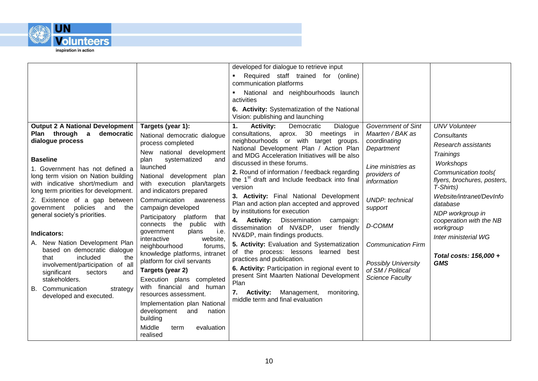

|                                                             |                                                              | developed for dialogue to retrieve input                                         |                            |                                          |
|-------------------------------------------------------------|--------------------------------------------------------------|----------------------------------------------------------------------------------|----------------------------|------------------------------------------|
|                                                             |                                                              | Required staff trained for (online)<br>communication platforms                   |                            |                                          |
|                                                             |                                                              | National and neighbourhoods launch                                               |                            |                                          |
|                                                             |                                                              | activities                                                                       |                            |                                          |
|                                                             |                                                              | 6. Activity: Systematization of the National<br>Vision: publishing and launching |                            |                                          |
| <b>Output 2 A National Development</b>                      | Targets (year 1):                                            | 1.<br><b>Activity:</b><br>Democratic<br>Dialogue                                 | <b>Government of Sint</b>  | <b>UNV Volunteer</b>                     |
| Plan through a<br>democratic                                | National democratic dialogue                                 | consultations, aprox. 30 meetings in                                             | Maarten / BAK as           | Consultants                              |
| dialogue process                                            | process completed                                            | neighbourhoods or with target groups.<br>National Development Plan / Action Plan | coordinating<br>Department | Research assistants                      |
| <b>Baseline</b>                                             | New national development                                     | and MDG Acceleration Initiatives will be also                                    |                            | <b>Trainings</b>                         |
| 1. Government has not defined a                             | systematized<br>plan<br>and<br>launched                      | discussed in these forums.                                                       | Line ministries as         | Workshops                                |
| long term vision on Nation building                         | National development plan                                    | 2. Round of information / feedback regarding                                     | providers of               | Communication tools(                     |
| with indicative short/medium and                            | with execution plan/targets                                  | the 1 <sup>st</sup> draft and Include feedback into final<br>version             | information                | flyers, brochures, posters,<br>T-Shirts) |
| long term priorities for development.                       | and indicators prepared                                      | 3. Activity: Final National Development                                          |                            | Website/intranet/DevInfo                 |
| 2. Existence of a gap between<br>policies and               | Communication<br>awareness                                   | Plan and action plan accepted and approved                                       | <b>UNDP:</b> technical     | database                                 |
| government<br>the<br>general society's priorities.          | campaign developed<br>Participatory platform                 | by institutions for execution                                                    | support                    | NDP workgroup in                         |
|                                                             | that<br>with<br>connects the<br>public                       | 4. Activity: Dissemination<br>campaign:                                          | D-COMM                     | cooperation with the NB                  |
| <b>Indicators:</b>                                          | plans<br>i.e.<br>government                                  | dissemination of NV&DP, user friendly<br>NV&DP, main findings products.          |                            | workgroup                                |
| A. New Nation Development Plan                              | interactive<br>website,                                      | 5. Activity: Evaluation and Systematization                                      | <b>Communication Firm</b>  | Inter ministerial WG                     |
| based on democratic dialogue                                | neighbourhood<br>forums.<br>knowledge platforms, intranet    | of the process: lessons learned best                                             |                            |                                          |
| included<br>that<br>the<br>involvement/participation of all | platform for civil servants                                  | practices and publication.                                                       | <b>Possibly University</b> | Total costs: 156,000 +<br><b>GMS</b>     |
| significant<br>sectors<br>and                               | Targets (year 2)                                             | 6. Activity: Participation in regional event to                                  | of SM / Political          |                                          |
| stakeholders.                                               | Execution plans completed                                    | present Sint Maarten National Development<br>Plan                                | <b>Science Faculty</b>     |                                          |
| B. Communication<br>strategy                                | with financial and human                                     | 7. Activity: Management,<br>monitoring,                                          |                            |                                          |
| developed and executed.                                     | resources assessment.                                        | middle term and final evaluation                                                 |                            |                                          |
|                                                             | Implementation plan National<br>development<br>and<br>nation |                                                                                  |                            |                                          |
|                                                             | building                                                     |                                                                                  |                            |                                          |
|                                                             | Middle<br>evaluation<br>term                                 |                                                                                  |                            |                                          |
|                                                             | realised                                                     |                                                                                  |                            |                                          |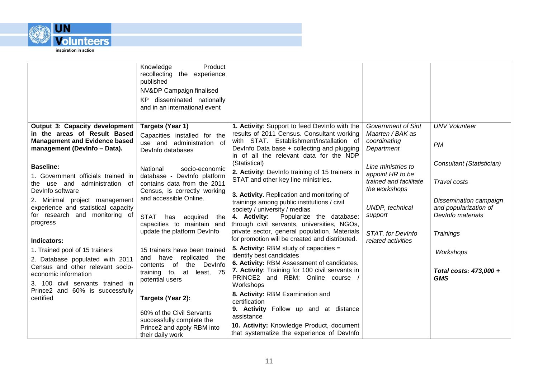

|                                                                                                                                                                                                         | Knowledge<br>Product<br>recollecting the experience<br>published<br>NV&DP Campaign finalised<br>KP disseminated nationally<br>and in an international event                                 |                                                                                                                                                                                                                                                                                                                                              |                                                                                                                       |                                                                                                                 |
|---------------------------------------------------------------------------------------------------------------------------------------------------------------------------------------------------------|---------------------------------------------------------------------------------------------------------------------------------------------------------------------------------------------|----------------------------------------------------------------------------------------------------------------------------------------------------------------------------------------------------------------------------------------------------------------------------------------------------------------------------------------------|-----------------------------------------------------------------------------------------------------------------------|-----------------------------------------------------------------------------------------------------------------|
| <b>Output 3: Capacity development</b><br>in the areas of Result Based<br><b>Management and Evidence based</b><br>management (DevInfo - Data).<br><b>Baseline:</b><br>1. Government officials trained in | Targets (Year 1)<br>Capacities installed for the<br>use and administration of<br>DevInfo databases<br>National<br>socio-economic<br>database - DevInfo platform                             | 1. Activity: Support to feed Devinfo with the<br>results of 2011 Census. Consultant working<br>with STAT. Establishment/installation of<br>DevInfo Data base + collecting and plugging<br>in of all the relevant data for the NDP<br>(Statistical)<br>2. Activity: Devlnfo training of 15 trainers in<br>STAT and other key line ministries. | <b>Government of Sint</b><br>Maarten / BAK as<br>coordinating<br>Department<br>Line ministries to<br>appoint HR to be | <b>UNV Volunteer</b><br><b>PM</b><br>Consultant (Statistician)                                                  |
| use and administration of<br>the⊹<br>DevInfo software<br>2. Minimal project management<br>experience and statistical capacity<br>for research and monitoring of<br>progress<br>Indicators:              | contains data from the 2011<br>Census, is correctly working<br>and accessible Online.<br><b>STAT</b><br>has<br>acquired<br>the<br>capacities to maintain and<br>update the platform DevInfo | 3. Activity. Replication and monitoring of<br>trainings among public institutions / civil<br>society / university / medias<br>4. Activity:<br>Popularize the database:<br>through civil servants, universities, NGOs,<br>private sector, general population. Materials<br>for promotion will be created and distributed.                     | trained and facilitate<br>the workshops<br>UNDP, technical<br>support<br>STAT, for DevInfo<br>related activities      | <b>Travel costs</b><br>Dissemination campaign<br>and popularization of<br>Devinfo materials<br><b>Trainings</b> |
| 1. Trained pool of 15 trainers<br>2. Database populated with 2011<br>Census and other relevant socio-<br>economic information<br>3. 100 civil servants trained in                                       | 15 trainers have been trained<br>replicated<br>have<br>the<br>and<br>the DevInfo<br>of<br>contents<br>training to, at least, 75<br>potential users                                          | <b>5. Activity:</b> RBM study of capacities $=$<br>identify best candidates<br>6. Activity: RBM Assessment of candidates.<br>7. Activity: Training for 100 civil servants in<br>PRINCE2 and RBM: Online course<br>Workshops                                                                                                                  |                                                                                                                       | Workshops<br>Total costs: 473,000 +<br><b>GMS</b>                                                               |
| Prince2 and 60% is successfully<br>certified                                                                                                                                                            | Targets (Year 2):<br>60% of the Civil Servants<br>successfully complete the<br>Prince2 and apply RBM into<br>their daily work                                                               | 8. Activity: RBM Examination and<br>certification<br>9. Activity Follow up and at distance<br>assistance<br>10. Activity: Knowledge Product, document<br>that systematize the experience of DevInfo                                                                                                                                          |                                                                                                                       |                                                                                                                 |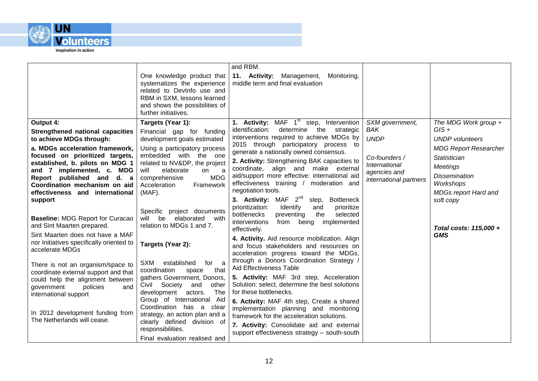

|                                                                                                                                                                                                                                                                                                                                                                                                                                                                                                                                                                                                                                                                                                                                                                                                                                  | One knowledge product that<br>systematizes the experience<br>related to Devinfo use and<br>RBM in SXM, lessons learned<br>and shows the possibilities of<br>further initiatives.                                                                                                                                                                                                                                                                                                                                                                                                                                                                                                    | and RBM.<br>11. Activity: Management,<br>Monitoring,<br>middle term and final evaluation                                                                                                                                                                                                                                                                                                                                                                                                                                                                                                                                                                                                                                                                                                                                                                                                                                                                                                                                                                                                                                                                                                                                                        |                                                                                                                          |                                                                                                                                                                                                                                                         |
|----------------------------------------------------------------------------------------------------------------------------------------------------------------------------------------------------------------------------------------------------------------------------------------------------------------------------------------------------------------------------------------------------------------------------------------------------------------------------------------------------------------------------------------------------------------------------------------------------------------------------------------------------------------------------------------------------------------------------------------------------------------------------------------------------------------------------------|-------------------------------------------------------------------------------------------------------------------------------------------------------------------------------------------------------------------------------------------------------------------------------------------------------------------------------------------------------------------------------------------------------------------------------------------------------------------------------------------------------------------------------------------------------------------------------------------------------------------------------------------------------------------------------------|-------------------------------------------------------------------------------------------------------------------------------------------------------------------------------------------------------------------------------------------------------------------------------------------------------------------------------------------------------------------------------------------------------------------------------------------------------------------------------------------------------------------------------------------------------------------------------------------------------------------------------------------------------------------------------------------------------------------------------------------------------------------------------------------------------------------------------------------------------------------------------------------------------------------------------------------------------------------------------------------------------------------------------------------------------------------------------------------------------------------------------------------------------------------------------------------------------------------------------------------------|--------------------------------------------------------------------------------------------------------------------------|---------------------------------------------------------------------------------------------------------------------------------------------------------------------------------------------------------------------------------------------------------|
| Output 4:<br>Strengthened national capacities<br>to achieve MDGs through:<br>a. MDGs acceleration framework,<br>focused on prioritized targets,<br>established, b. pilots on MDG 1<br>and 7 implemented, c. MDG<br>will<br>Report published and d. a<br>Coordination mechanism on aid<br>Acceleration<br>effectiveness and international<br>$(MAF)$ .<br>support<br><b>Baseline: MDG Report for Curacao</b><br>will<br>and Sint Maarten prepared.<br>Sint Maarten does not have a MAF<br>nor Initiatives specifically oriented to<br>accelerate MDGs<br><b>SXM</b><br>There is not an organism/space to<br>coordination<br>coordinate external support and that<br>could help the alignment between<br>policies<br>government<br>and<br>international support<br>In 2012 development funding from<br>The Netherlands will cease. | Targets (Year 1):<br>Financial gap for funding<br>development goals estimated<br>Using a participatory process<br>embedded with the one<br>related to NV&DP, the project<br>elaborate<br>on<br>a<br><b>MDG</b><br>comprehensive<br>Framework<br>Specific project documents<br>elaborated<br>be<br>with<br>relation to MDGs 1 and 7.<br>Targets (Year 2):<br>established<br>for a<br>that<br>space<br>gathers Government, Donors,<br>Civil Society<br>and<br>other<br>development<br>The<br>actors.<br>Group of International Aid<br>Coordination has a clear<br>strategy, an action plan and a<br>clearly defined division of<br>responsibilities.<br>Final evaluation realised and | 1. Activity: MAF 1 <sup>st</sup> step, Intervention<br>identification:<br>the<br>determine<br>strategic<br>interventions required to achieve MDGs by<br>2015 through participatory process to<br>generate a nationally owned consensus.<br>2. Activity: Strengthening BAK capacities to<br>align and make external<br>coordinate,<br>aid/support more effective: international aid<br>effectiveness training / moderation and<br>negotiation tools.<br>3. Activity: MAF $2^{nd}$<br>step, Bottleneck<br>prioritization:<br>Identify<br>prioritize<br>and<br>bottlenecks<br>preventing<br>the<br>selected<br>interventions<br>implemented<br>from<br>being<br>effectively.<br>4. Activity. Aid resource mobilization. Align<br>and focus stakeholders and resources on<br>acceleration progress toward the MDGs,<br>through a Donors Coordination Strategy /<br>Aid Effectiveness Table<br>5. Activity: MAF 3rd step, Acceleration<br>Solution: select, determine the best solutions<br>for these bottlenecks.<br>6. Activity: MAF 4th step, Create a shared<br>implementation planning and monitoring<br>framework for the acceleration solutions.<br>7. Activity: Consolidate aid and external<br>support effectiveness strategy - south-south | SXM government,<br><b>BAK</b><br><b>UNDP</b><br>Co-founders /<br>International<br>agencies and<br>international partners | The MDG Work group $+$<br>$GIS +$<br><b>UNDP</b> volunteers<br><b>MDG Report Researcher</b><br>Statistician<br><b>Meetings</b><br><b>Dissemination</b><br>Workshops<br><b>MDGs report Hard and</b><br>soft copy<br>Total costs: 115,000 +<br><b>GMS</b> |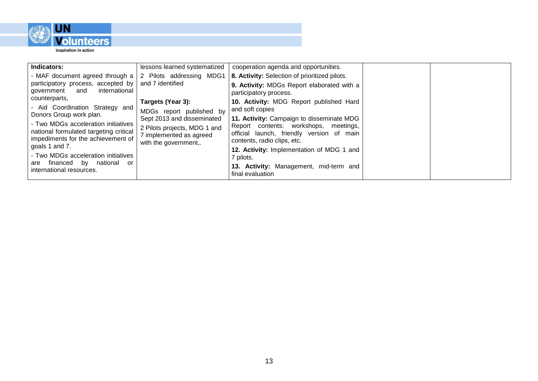

| Indicators:                                                                                                                                                                                                                                                      | lessons learned systematized | cooperation agenda and opportunities.                                                                                                                          |  |
|------------------------------------------------------------------------------------------------------------------------------------------------------------------------------------------------------------------------------------------------------------------|------------------------------|----------------------------------------------------------------------------------------------------------------------------------------------------------------|--|
| - MAF document agreed through a $\vert$ 2 Pilots addressing MDG1                                                                                                                                                                                                 |                              | 8. Activity: Selection of prioritized pilots.                                                                                                                  |  |
| participatory process, accepted by<br>international<br>and<br>government                                                                                                                                                                                         | and 7 identified             | 9. Activity: MDGs Report elaborated with a<br>participatory process.                                                                                           |  |
| counterparts,                                                                                                                                                                                                                                                    | Targets (Year 3):            | 10. Activity: MDG Report published Hard                                                                                                                        |  |
| - Aid Coordination Strategy and                                                                                                                                                                                                                                  | MDGs report published by     | and soft copies                                                                                                                                                |  |
| Donors Group work plan.<br>Sept 2013 and disseminated<br>- Two MDGs acceleration initiatives<br>2 Pilots projects, MDG 1 and<br>national formulated targeting critical<br>7 implemented as agreed<br>impediments for the achievement of<br>with the government,. |                              | 11. Activity: Campaign to disseminate MDG<br>Report contents: workshops, meetings,<br>official launch, friendly version of main<br>contents, radio clips, etc. |  |
| goals 1 and 7.<br>- Two MDGs acceleration initiatives<br>national or<br>financed by<br>are                                                                                                                                                                       |                              | <b>12. Activity:</b> Implementation of MDG 1 and<br>7 pilots.                                                                                                  |  |
| international resources.                                                                                                                                                                                                                                         |                              | 13. Activity: Management, mid-term and<br>final evaluation                                                                                                     |  |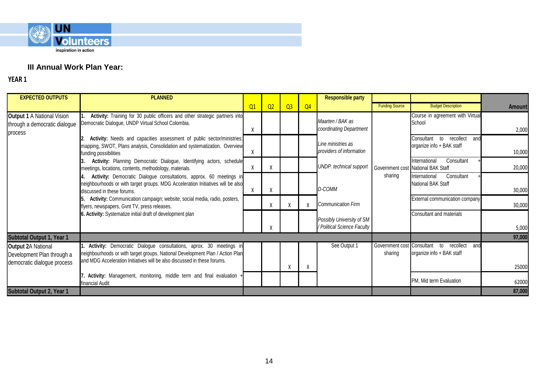

# **III Annual Work Plan Year:**

| <b>EXPECTED OUTPUTS</b>                                                       | <b>PLANNED</b>                                                                                                                                                                                                                  |    |                |                |                | <b>Responsible party</b>                                 |                       |                                                                          |               |
|-------------------------------------------------------------------------------|---------------------------------------------------------------------------------------------------------------------------------------------------------------------------------------------------------------------------------|----|----------------|----------------|----------------|----------------------------------------------------------|-----------------------|--------------------------------------------------------------------------|---------------|
|                                                                               |                                                                                                                                                                                                                                 | Q1 | Q <sub>2</sub> | Q <sub>3</sub> | Q <sub>4</sub> |                                                          | <b>Funding Source</b> | <b>Budget Description</b>                                                | <b>Amount</b> |
| <b>Output 1 A National Vision</b><br>through a democratic dialogue<br>process | Activity: Training for 30 public officers and other strategic partners into<br>Democratic Dialogue, UNDP Virtual School Colombia.                                                                                               | X  |                |                |                | Maarten / BAK as<br>coordinating Department              |                       | Course in agreement with Virtual<br>School                               | 2,000         |
|                                                                               | Activity: Needs and capacities assessment of public sector/ministries:<br>mapping, SWOT, Plans analysis, Consolidation and systematization. Overview<br>funding possibilities                                                   |    |                |                |                | Line ministries as<br>providers of information           |                       | Consultant to recollect<br>and<br>organize info + BAK staff              | 10,000        |
|                                                                               | Activity: Planning Democratic Dialogue, Identifying actors, schedule<br>meetings, locations, contents, methodology, materials.                                                                                                  | X  | X              |                |                | <b>UNDP:</b> technical support                           |                       | Consultant<br>International<br>Government cost National BAK Staff        | 20,000        |
|                                                                               | Activity: Democratic Dialogue consultations, approx. 60 meetings in<br>neighbourhoods or with target groups. MDG Acceleration Initiatives will be also<br>discussed in these forums.                                            |    | Χ              |                |                | D-COMM                                                   | sharing               | Consultant<br>International<br>National BAK Staff                        | 30,000        |
|                                                                               | Activity: Communication campaign; website, social media, radio, posters,<br>flyers, newspapers, Gvnt TV, press releases.                                                                                                        |    | Χ              | Χ              |                | <b>Communication Firm</b>                                |                       | External communication company                                           | 30,000        |
| 6. Activity: Systematize initial draft of development plan                    |                                                                                                                                                                                                                                 |    |                |                |                | Possibly University of SM<br>/ Political Science Faculty |                       | Consultant and materials                                                 | 5,000         |
| Subtotal Output 1, Year 1                                                     |                                                                                                                                                                                                                                 |    |                |                |                |                                                          |                       |                                                                          | 97,000        |
| <b>Output 2A National</b><br>Development Plan through a                       | Activity: Democratic Dialogue consultations, aprox. 30 meetings in<br>neighbourhoods or with target groups. National Development Plan / Action Plan<br>and MDG Acceleration Initiatives will be also discussed in these forums. |    |                |                |                | See Output 1                                             | sharing               | Government cost Consultant to recollect and<br>organize info + BAK staff |               |
| democratic dialogue process                                                   |                                                                                                                                                                                                                                 |    |                | X              | χ              |                                                          |                       |                                                                          | 25000         |
|                                                                               | Activity: Management, monitoring, middle term and final evaluation +<br>financial Audit                                                                                                                                         |    |                |                |                |                                                          |                       | PM, Mid term Evaluation                                                  | 62000         |
| Subtotal Output 2, Year 1                                                     |                                                                                                                                                                                                                                 |    |                |                |                |                                                          |                       |                                                                          | 87,000        |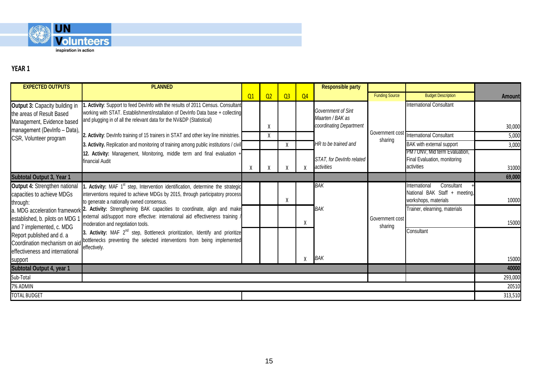

| <b>EXPECTED OUTPUTS</b>                                                                                                                                                                                                                                                                                             | <b>PLANNED</b>                                                                                                                                                                                                                             |    |    |                |                | <b>Responsible party</b>                                          |                            |                                                                                      |               |
|---------------------------------------------------------------------------------------------------------------------------------------------------------------------------------------------------------------------------------------------------------------------------------------------------------------------|--------------------------------------------------------------------------------------------------------------------------------------------------------------------------------------------------------------------------------------------|----|----|----------------|----------------|-------------------------------------------------------------------|----------------------------|--------------------------------------------------------------------------------------|---------------|
|                                                                                                                                                                                                                                                                                                                     |                                                                                                                                                                                                                                            | Q1 | Q2 | Q <sub>3</sub> | Q <sub>4</sub> |                                                                   | <b>Funding Source</b>      | <b>Budget Description</b>                                                            | <b>Amount</b> |
| Output 3: Capacity building in<br>the areas of Result Based<br>Management, Evidence based<br>management (DevInfo - Data),                                                                                                                                                                                           | . Activity: Support to feed DevInfo with the results of 2011 Census. Consultant<br>working with STAT. Establishment/installation of DevInfo Data base + collecting<br>and plugging in of all the relevant data for the NV&DP (Statistical) |    | Χ  |                |                | Government of Sint<br>Maarten / BAK as<br>coordinating Department |                            | <b>International Consultant</b>                                                      | 30,000        |
| CSR, Volunteer program                                                                                                                                                                                                                                                                                              | 2. Activity: DevInfo training of 15 trainers in STAT and other key line ministries.                                                                                                                                                        |    | X  |                |                |                                                                   | sharing                    | Government cost International Consultant                                             | 5,000         |
|                                                                                                                                                                                                                                                                                                                     | 3. Activity. Replication and monitoring of training among public institutions / civil                                                                                                                                                      |    |    | X              |                | HR to be trained and                                              |                            | <b>BAK</b> with external support                                                     | 3,000         |
|                                                                                                                                                                                                                                                                                                                     | 12. Activity: Management, Monitoring, middle term and final evaluation +<br>financial Audit                                                                                                                                                | X  |    |                |                | STAT, for Devinfo related<br>activities                           |                            | PM / UNV, Mid term Evaluation,<br>Final Evaluation, monitoring<br>activities         | 31000         |
| Subtotal Output 3, Year 1                                                                                                                                                                                                                                                                                           |                                                                                                                                                                                                                                            |    |    |                |                |                                                                   |                            |                                                                                      | 69,000        |
| Output 4: Strengthen national<br>capacities to achieve MDGs<br>through:                                                                                                                                                                                                                                             | Activity: MAF 1 <sup>st</sup> step, Intervention identification, determine the strategic<br>interventions required to achieve MDGs by 2015, through participatory process<br>to generate a nationally owned consensus.                     |    |    | X              |                | <b>BAK</b>                                                        |                            | International<br>Consultant<br>National BAK Staff + meeting,<br>workshops, materials | 10000         |
| established, b. pilots on MDG 1                                                                                                                                                                                                                                                                                     | a. MDG acceleration framework 2. Activity: Strengthening BAK capacities to coordinate, align and make<br>external aid/support more effective: international aid effectiveness training /<br>moderation and negotiation tools.              |    |    |                | X              | <b>BAK</b>                                                        | Government cost<br>sharing | Trainer, elearning, materials                                                        | 15000         |
| and 7 implemented, c. MDG<br>3. Activity: MAF 2 <sup>nd</sup> step, Bottleneck prioritization, Identify and prioritize<br>Report published and d. a<br>bottlenecks preventing the selected interventions from being implemented<br>Coordination mechanism on aid<br>effectively.<br>effectiveness and international |                                                                                                                                                                                                                                            |    |    |                | BAK            |                                                                   | Consultant                 | 15000                                                                                |               |
| support<br>Subtotal Output 4, year 1                                                                                                                                                                                                                                                                                |                                                                                                                                                                                                                                            |    |    |                |                |                                                                   |                            |                                                                                      | 40000         |
| Sub-Total                                                                                                                                                                                                                                                                                                           |                                                                                                                                                                                                                                            |    |    |                |                |                                                                   |                            |                                                                                      | 293,000       |
| 7% ADMIN                                                                                                                                                                                                                                                                                                            |                                                                                                                                                                                                                                            |    |    |                |                |                                                                   |                            |                                                                                      | 20510         |
| <b>TOTAL BUDGET</b>                                                                                                                                                                                                                                                                                                 |                                                                                                                                                                                                                                            |    |    |                |                |                                                                   |                            |                                                                                      | 313,510       |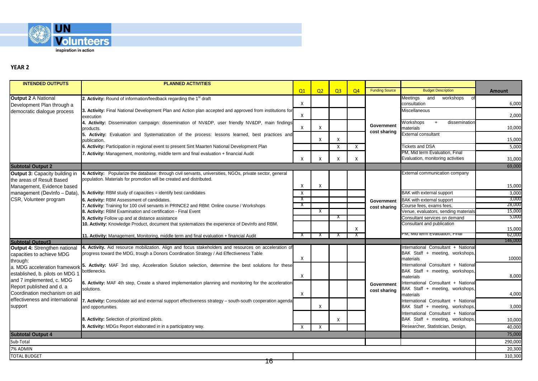

| <b>INTENDED OUTPUTS</b>               | <b>PLANNED ACTIVITIES</b>                                                                                 |                |                |                |                |                       |                                      |                   |
|---------------------------------------|-----------------------------------------------------------------------------------------------------------|----------------|----------------|----------------|----------------|-----------------------|--------------------------------------|-------------------|
|                                       |                                                                                                           | Q <sub>1</sub> | Q <sub>2</sub> | Q <sub>3</sub> | Q <sub>4</sub> | <b>Funding Source</b> | <b>Budget Description</b>            | <b>Amount</b>     |
| <b>Output 2 A National</b>            | 2. Activity: Round of information/feedback regarding the 1 <sup>st</sup> draft                            |                |                |                |                |                       | Meetings<br>workshops<br>and<br>0    |                   |
| Development Plan through a            |                                                                                                           | X              |                |                |                |                       | consultation                         | 6,000             |
| democratic dialogue process           | 3. Activity: Final National Development Plan and Action plan accepted and approved from institutions for  |                |                |                |                |                       | Miscellaneous                        |                   |
|                                       | execution                                                                                                 | X              |                |                |                |                       |                                      | 2,000             |
|                                       | 4. Activity: Dissemination campaign: dissemination of NV&DP, user friendly NV&DP, main findings           |                |                |                |                | Government            | Workshops<br>dissemination<br>$+$    |                   |
|                                       | products.                                                                                                 | Χ              | Х              |                |                | cost sharing          | materials                            | 10,000            |
|                                       | 5. Activity: Evaluation and Systematization of the process: lessons learned, best practices and           |                |                |                |                |                       | External consultant                  |                   |
|                                       | publication.                                                                                              |                | X              | X              |                |                       |                                      | 15,000            |
|                                       | 6. Activity: Participation in regional event to present Sint Maarten National Development Plan            |                |                | X              | X              |                       | <b>Tickets and DSA</b>               | 5,000             |
|                                       | 7. Activity: Management, monitoring, middle term and final evaluation + financial Audit                   |                |                |                |                |                       | PM, Mid term Evaluation, Final       |                   |
|                                       |                                                                                                           |                |                | X              | X              |                       | Evaluation, monitoring activities    | 31,000            |
| <b>Subtotal Output 2</b>              |                                                                                                           |                |                |                |                |                       |                                      | 69,000            |
| <b>Output 3: Capacity building in</b> | 4. Activity: Popularize the database: through civil servants, universities, NGOs, private sector, general |                |                |                |                |                       | External communication company       |                   |
| the areas of Result Based             | population. Materials for promotion will be created and distributed.                                      |                |                |                |                |                       |                                      |                   |
| Management, Evidence based            |                                                                                                           | X              | Х              |                |                |                       |                                      | 15,000            |
| management (DevInfo - Data),          | 5. Activity: RBM study of capacities = identify best candidates                                           | X              |                |                |                |                       | BAK with external support            | 3,000             |
| CSR, Volunteer program                | 6. Activity: RBM Assessment of candidates.                                                                | X              |                |                |                | Government            | BAK with external support            | 3,000             |
|                                       | 7. Activity: Training for 100 civil servants in PRINCE2 and RBM: Online course / Workshops                |                |                |                |                | cost sharing          | Course fees, exams fees,             | 28,000            |
|                                       | 8. Activity: RBM Examination and certification - Final Event                                              |                | х              |                |                |                       | Venue, evaluators, sending materials | 15,000            |
|                                       | 9. Activity Follow up and at distance assistance                                                          |                |                | X              |                |                       | Consultant services on demand        | 5,000             |
|                                       | 10. Activity: Knowledge Product, document that systematizes the experience of DevInfo and RBM.            |                |                |                |                |                       | Consultant and publication           |                   |
|                                       |                                                                                                           |                |                |                | X              |                       | PIVI, MID term Evaluation, Final     | 15,000            |
|                                       | 11. Activity: Management, Monitoring, middle term and final evaluation + financial Audit                  | X              | X              | X              | X              |                       |                                      | 62,000<br>146,000 |
| <b>Subtotal Output3</b>               | 4. Activity. Aid resource mobilization. Align and focus stakeholders and resources on acceleration of     |                |                |                |                |                       | International Consultant + National  |                   |
| <b>Output 4: Strengthen national</b>  | progress toward the MDG, trough a Donors Coordination Strategy / Aid Effectiveness Table                  |                |                |                |                |                       | BAK Staff + meeting, workshops,      |                   |
| capacities to achieve MDG             |                                                                                                           | Χ              |                |                |                |                       | materials                            | 10000             |
| through:                              | 5. Activity: MAF 3rd step, Acceleration Solution selection, determine the best solutions for these        |                |                |                |                |                       | International Consultant + National  |                   |
| a. MDG acceleration framework         | bottlenecks.                                                                                              |                |                |                |                |                       | BAK Staff + meeting, workshops,      |                   |
| established, b. pilots on MDG 1       |                                                                                                           | Χ              |                |                |                |                       | materials                            | 8,000             |
| and 7 implemented, c. MDG             | 6. Activity: MAF 4th step, Create a shared implementation planning and monitoring for the acceleration    |                |                |                |                | Government            | International Consultant + National  |                   |
| Report published and d. a             | solutions.                                                                                                |                |                |                |                | cost sharing          | BAK Staff + meeting, workshops,      |                   |
| Coordination mechanism on aid         |                                                                                                           | Χ              |                |                |                |                       | materials                            | 4,000             |
| effectiveness and international       | 7. Activity: Consolidate aid and external support effectiveness strategy - south-south cooperation agenda |                |                |                |                |                       | International Consultant + National  |                   |
| support                               | and opportunities.                                                                                        |                | Х              |                |                |                       | BAK Staff + meeting, workshops,      | 3,000             |
|                                       |                                                                                                           |                |                |                |                |                       | International Consultant + National  |                   |
|                                       | 8. Activity: Selection of prioritized pilots.                                                             |                |                | X              |                |                       | BAK Staff + meeting, workshops,      | 10,000            |
|                                       | 9. Activity: MDGs Report elaborated in in a participatory way.                                            | $\mathsf{x}$   | $\mathsf{X}$   |                |                |                       | Researcher, Statistician, Design,    | 40,000            |
| <b>Subtotal Output 4</b>              |                                                                                                           |                |                |                |                |                       |                                      | 75,000            |
| Sub-Total                             |                                                                                                           |                |                |                |                |                       |                                      | 290,000           |
| 7% ADMIN                              |                                                                                                           |                |                |                |                |                       |                                      | 20,300            |
| <b>TOTAL BUDGET</b>                   |                                                                                                           |                |                |                |                |                       |                                      | 310,300           |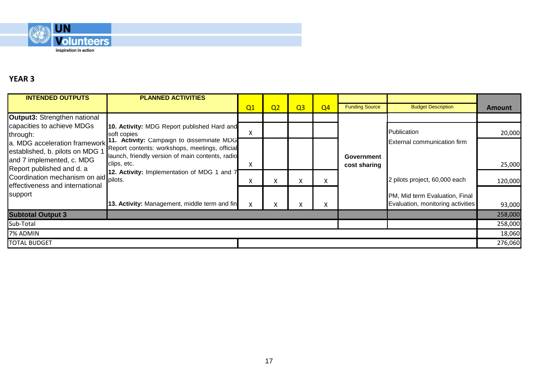

| <b>INTENDED OUTPUTS</b>                                                                       | <b>PLANNED ACTIVITIES</b>                                                                                                                                      |    |                |                |                |                            |                                                                     |               |
|-----------------------------------------------------------------------------------------------|----------------------------------------------------------------------------------------------------------------------------------------------------------------|----|----------------|----------------|----------------|----------------------------|---------------------------------------------------------------------|---------------|
|                                                                                               |                                                                                                                                                                | Q1 | Q <sub>2</sub> | Q <sub>3</sub> | Q <sub>4</sub> | <b>Funding Source</b>      | <b>Budget Description</b>                                           | <b>Amount</b> |
| Output3: Strengthen national                                                                  |                                                                                                                                                                |    |                |                |                |                            |                                                                     |               |
| capacities to achieve MDGs<br>through:                                                        | 10. Activity: MDG Report published Hard and<br>soft copies                                                                                                     | X  |                |                |                |                            | Publication                                                         | 20,000        |
| a. MDG acceleration framework<br>established, b. pilots on MDG 1<br>and 7 implemented, c. MDG | 11. Activity: Campaign to disseminate MDG<br>Report contents: workshops, meetings, official<br>launch, friendly version of main contents, radio<br>clips, etc. | X  |                |                |                | Government<br>cost sharing | <b>External communication firm</b>                                  | 25,000        |
| Report published and d. a<br>Coordination mechanism on aid<br>effectiveness and international | 12. Activity: Implementation of MDG 1 and 7<br>pilots.                                                                                                         | X  | $\sim$         | x              | X.             |                            | 2 pilots project, 60,000 each                                       | 120,000       |
| support                                                                                       | 13. Activity: Management, middle term and fin                                                                                                                  | X  | X.             | X              | x              |                            | PM, Mid term Evaluation, Final<br>Evaluation, monitoring activities | 93,000        |
| <b>Subtotal Output 3</b>                                                                      |                                                                                                                                                                |    |                |                |                |                            |                                                                     | 258,000       |
| Sub-Total                                                                                     |                                                                                                                                                                |    |                |                |                |                            |                                                                     | 258,000       |
| 7% ADMIN                                                                                      |                                                                                                                                                                |    |                |                |                |                            |                                                                     | 18,060        |
| <b>TOTAL BUDGET</b>                                                                           |                                                                                                                                                                |    |                |                |                |                            |                                                                     | 276,060       |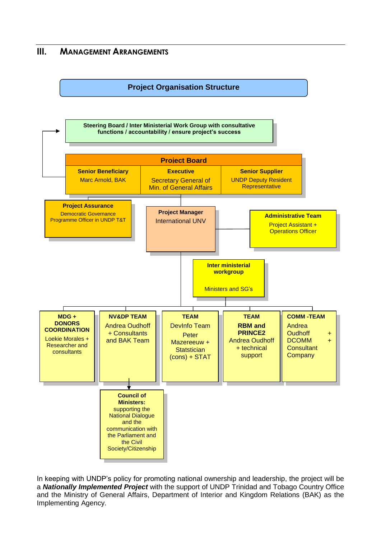# **III. MANAGEMENT ARRANGEMENTS**



In keeping with UNDP's policy for promoting national ownership and leadership, the project will be a *Nationally Implemented Project* with the support of UNDP Trinidad and Tobago Country Office and the Ministry of General Affairs, Department of Interior and Kingdom Relations (BAK) as the Implementing Agency.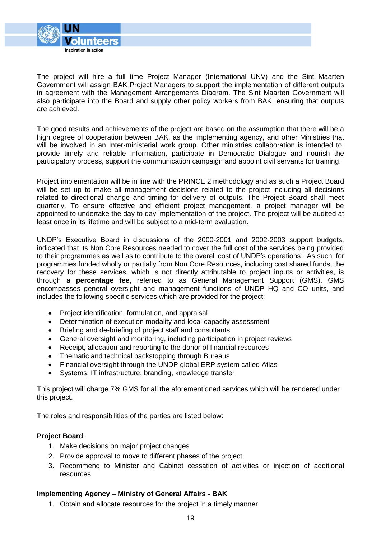

The project will hire a full time Project Manager (International UNV) and the Sint Maarten Government will assign BAK Project Managers to support the implementation of different outputs in agreement with the Management Arrangements Diagram. The Sint Maarten Government will also participate into the Board and supply other policy workers from BAK, ensuring that outputs are achieved.

The good results and achievements of the project are based on the assumption that there will be a high degree of cooperation between BAK, as the implementing agency, and other Ministries that will be involved in an Inter-ministerial work group. Other ministries collaboration is intended to: provide timely and reliable information, participate in Democratic Dialogue and nourish the participatory process, support the communication campaign and appoint civil servants for training.

Project implementation will be in line with the PRINCE 2 methodology and as such a Project Board will be set up to make all management decisions related to the project including all decisions related to directional change and timing for delivery of outputs. The Project Board shall meet quarterly. To ensure effective and efficient project management, a project manager will be appointed to undertake the day to day implementation of the project. The project will be audited at least once in its lifetime and will be subject to a mid-term evaluation.

UNDP's Executive Board in discussions of the 2000-2001 and 2002-2003 support budgets, indicated that its Non Core Resources needed to cover the full cost of the services being provided to their programmes as well as to contribute to the overall cost of UNDP's operations. As such, for programmes funded wholly or partially from Non Core Resources, including cost shared funds, the recovery for these services, which is not directly attributable to project inputs or activities, is through a **percentage fee,** referred to as General Management Support (GMS). GMS encompasses general oversight and management functions of UNDP HQ and CO units, and includes the following specific services which are provided for the project:

- Project identification, formulation, and appraisal
- Determination of execution modality and local capacity assessment
- Briefing and de-briefing of project staff and consultants
- General oversight and monitoring, including participation in project reviews
- Receipt, allocation and reporting to the donor of financial resources
- Thematic and technical backstopping through Bureaus
- Financial oversight through the UNDP global ERP system called Atlas
- Systems, IT infrastructure, branding, knowledge transfer

This project will charge 7% GMS for all the aforementioned services which will be rendered under this project.

The roles and responsibilities of the parties are listed below:

#### **Project Board**:

- 1. Make decisions on major project changes
- 2. Provide approval to move to different phases of the project
- 3. Recommend to Minister and Cabinet cessation of activities or injection of additional resources

#### **Implementing Agency – Ministry of General Affairs - BAK**

1. Obtain and allocate resources for the project in a timely manner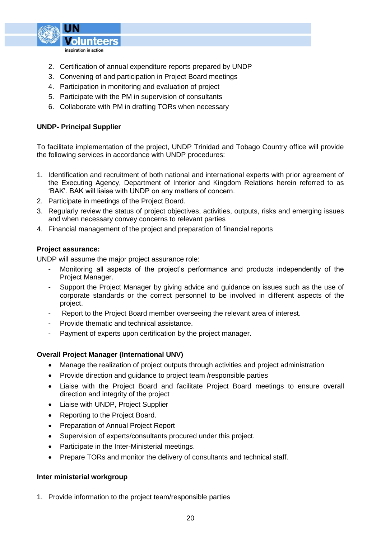

- 2. Certification of annual expenditure reports prepared by UNDP
- 3. Convening of and participation in Project Board meetings
- 4. Participation in monitoring and evaluation of project
- 5. Participate with the PM in supervision of consultants
- 6. Collaborate with PM in drafting TORs when necessary

#### **UNDP- Principal Supplier**

To facilitate implementation of the project, UNDP Trinidad and Tobago Country office will provide the following services in accordance with UNDP procedures:

- 1. Identification and recruitment of both national and international experts with prior agreement of the Executing Agency, Department of Interior and Kingdom Relations herein referred to as 'BAK'. BAK will liaise with UNDP on any matters of concern.
- 2. Participate in meetings of the Project Board.
- 3. Regularly review the status of project objectives, activities, outputs, risks and emerging issues and when necessary convey concerns to relevant parties
- 4. Financial management of the project and preparation of financial reports

#### **Project assurance:**

UNDP will assume the major project assurance role:

- Monitoring all aspects of the project's performance and products independently of the Project Manager.
- Support the Project Manager by giving advice and guidance on issues such as the use of corporate standards or the correct personnel to be involved in different aspects of the project.
- Report to the Project Board member overseeing the relevant area of interest.
- Provide thematic and technical assistance.
- Payment of experts upon certification by the project manager.

### **Overall Project Manager (International UNV)**

- Manage the realization of project outputs through activities and project administration
- Provide direction and quidance to project team /responsible parties
- Liaise with the Project Board and facilitate Project Board meetings to ensure overall direction and integrity of the project
- Liaise with UNDP, Project Supplier
- Reporting to the Project Board.
- Preparation of Annual Project Report
- Supervision of experts/consultants procured under this project.
- Participate in the Inter-Ministerial meetings.
- Prepare TORs and monitor the delivery of consultants and technical staff.

#### **Inter ministerial workgroup**

1. Provide information to the project team/responsible parties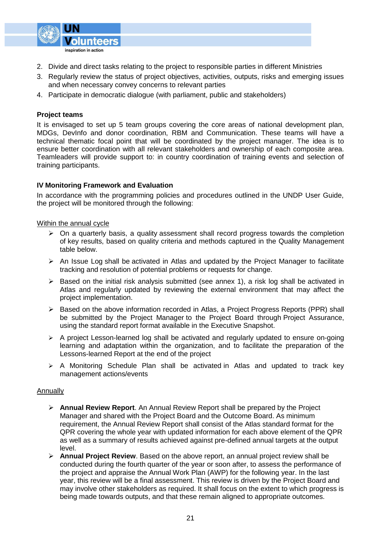

- 2. Divide and direct tasks relating to the project to responsible parties in different Ministries
- 3. Regularly review the status of project objectives, activities, outputs, risks and emerging issues and when necessary convey concerns to relevant parties
- 4. Participate in democratic dialogue (with parliament, public and stakeholders)

#### **Project teams**

It is envisaged to set up 5 team groups covering the core areas of national development plan, MDGs, DevInfo and donor coordination, RBM and Communication. These teams will have a technical thematic focal point that will be coordinated by the project manager. The idea is to ensure better coordination with all relevant stakeholders and ownership of each composite area. Teamleaders will provide support to: in country coordination of training events and selection of training participants.

#### **IV Monitoring Framework and Evaluation**

In accordance with the programming policies and procedures outlined in the UNDP User Guide, the project will be monitored through the following:

#### Within the annual cycle

- $\triangleright$  On a quarterly basis, a quality assessment shall record progress towards the completion of key results, based on quality criteria and methods captured in the Quality Management table below.
- $\triangleright$  An Issue Log shall be activated in Atlas and updated by the Project Manager to facilitate tracking and resolution of potential problems or requests for change.
- $\triangleright$  Based on the initial risk analysis submitted (see annex 1), a risk log shall be activated in Atlas and regularly updated by reviewing the external environment that may affect the project implementation.
- ▶ Based on the above information recorded in Atlas, a Project Progress Reports (PPR) shall be submitted by the Project Manager to the Project Board through Project Assurance, using the standard report format available in the Executive Snapshot.
- $\triangleright$  A project Lesson-learned log shall be activated and regularly updated to ensure on-going learning and adaptation within the organization, and to facilitate the preparation of the Lessons-learned Report at the end of the project
- $\triangleright$  A Monitoring Schedule Plan shall be activated in Atlas and updated to track key management actions/events

#### Annually

- **Annual Review Report**. An Annual Review Report shall be prepared by the Project Manager and shared with the Project Board and the Outcome Board. As minimum requirement, the Annual Review Report shall consist of the Atlas standard format for the QPR covering the whole year with updated information for each above element of the QPR as well as a summary of results achieved against pre-defined annual targets at the output level.
- **Annual Project Review**. Based on the above report, an annual project review shall be conducted during the fourth quarter of the year or soon after, to assess the performance of the project and appraise the Annual Work Plan (AWP) for the following year. In the last year, this review will be a final assessment. This review is driven by the Project Board and may involve other stakeholders as required. It shall focus on the extent to which progress is being made towards outputs, and that these remain aligned to appropriate outcomes.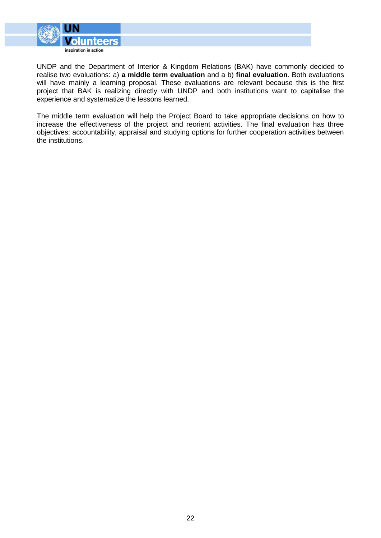

UNDP and the Department of Interior & Kingdom Relations (BAK) have commonly decided to realise two evaluations: a) **a middle term evaluation** and a b) **final evaluation**. Both evaluations will have mainly a learning proposal. These evaluations are relevant because this is the first project that BAK is realizing directly with UNDP and both institutions want to capitalise the experience and systematize the lessons learned.

The middle term evaluation will help the Project Board to take appropriate decisions on how to increase the effectiveness of the project and reorient activities. The final evaluation has three objectives: accountability, appraisal and studying options for further cooperation activities between the institutions.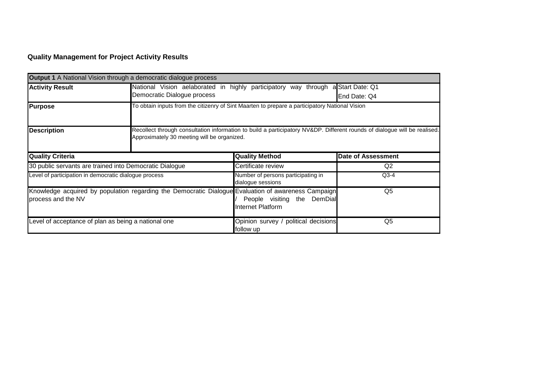# **Quality Management for Project Activity Results**

|                                                       | <b>Output 1</b> A National Vision through a democratic dialogue process                             |                                                                                                                                                                          |                           |  |  |  |  |  |  |  |
|-------------------------------------------------------|-----------------------------------------------------------------------------------------------------|--------------------------------------------------------------------------------------------------------------------------------------------------------------------------|---------------------------|--|--|--|--|--|--|--|
| <b>Activity Result</b>                                | Democratic Dialogue process                                                                         | a Start Date: Q1<br>National Vision aelaborated in highly participatory way<br>through                                                                                   |                           |  |  |  |  |  |  |  |
|                                                       |                                                                                                     |                                                                                                                                                                          | End Date: Q4              |  |  |  |  |  |  |  |
| <b>Purpose</b>                                        |                                                                                                     | To obtain inputs from the citizenry of Sint Maarten to prepare a participatory National Vision                                                                           |                           |  |  |  |  |  |  |  |
| <b>Description</b>                                    |                                                                                                     | Recollect through consultation information to build a participatory NV&DP. Different rounds of dialogue will be realised.<br>Approximately 30 meeting will be organized. |                           |  |  |  |  |  |  |  |
| <b>Quality Criteria</b>                               |                                                                                                     | <b>Quality Method</b>                                                                                                                                                    | <b>Date of Assessment</b> |  |  |  |  |  |  |  |
|                                                       | 30 public servants are trained into Democratic Dialogue                                             | Certificate review                                                                                                                                                       | Q2                        |  |  |  |  |  |  |  |
| Level of participation in democratic dialogue process |                                                                                                     | Number of persons participating in<br>dialogue sessions                                                                                                                  | $Q3-4$                    |  |  |  |  |  |  |  |
| process and the NV                                    | Knowledge acquired by population regarding the Democratic Dialogue Evaluation of awareness Campaign | People visiting the DemDial<br><b>Internet Platform</b>                                                                                                                  | Q5                        |  |  |  |  |  |  |  |
| Level of acceptance of plan as being a national one   |                                                                                                     | Opinion survey / political decisions<br>follow up                                                                                                                        | Q5                        |  |  |  |  |  |  |  |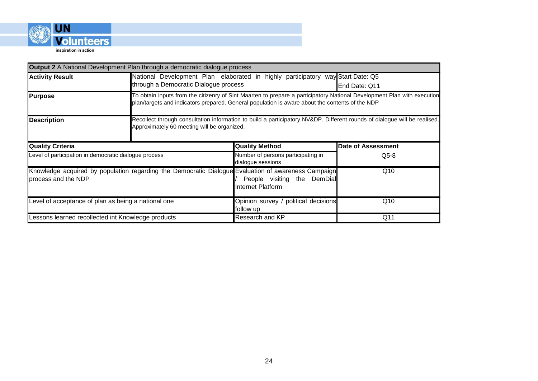

|                                                                                                                            | <b>Output 2</b> A National Development Plan through a democratic dialogue process |                                                                                                                                                                                                                            |                           |  |  |
|----------------------------------------------------------------------------------------------------------------------------|-----------------------------------------------------------------------------------|----------------------------------------------------------------------------------------------------------------------------------------------------------------------------------------------------------------------------|---------------------------|--|--|
| <b>Activity Result</b>                                                                                                     |                                                                                   | National Development Plan elaborated in highly participatory way Start Date: Q5<br>through a Democratic Dialogue process<br>End Date: Q11                                                                                  |                           |  |  |
| <b>Purpose</b>                                                                                                             |                                                                                   | To obtain inputs from the citizenry of Sint Maarten to prepare a participatory National Development Plan with execution<br>plan/targets and indicators prepared. General population is aware about the contents of the NDP |                           |  |  |
| <b>Description</b>                                                                                                         |                                                                                   | Recollect through consultation information to build a participatory NV&DP. Different rounds of dialogue will be realised.<br>Approximately 60 meeting will be organized.                                                   |                           |  |  |
| <b>Quality Criteria</b>                                                                                                    |                                                                                   | <b>Quality Method</b>                                                                                                                                                                                                      | <b>Date of Assessment</b> |  |  |
| Level of participation in democratic dialogue process                                                                      |                                                                                   | Number of persons participating in<br>dialogue sessions                                                                                                                                                                    | $Q5-8$                    |  |  |
| Knowledge acquired by population regarding the Democratic Dialogue Evaluation of awareness Campaign<br>process and the NDP |                                                                                   | People visiting the DemDial<br><b>Internet Platform</b>                                                                                                                                                                    | Q10                       |  |  |
| Level of acceptance of plan as being a national one                                                                        |                                                                                   | Opinion survey / political decisions<br>follow up                                                                                                                                                                          | Q10                       |  |  |
| Lessons learned recollected int Knowledge products                                                                         |                                                                                   | Research and KP                                                                                                                                                                                                            | Q <sub>11</sub>           |  |  |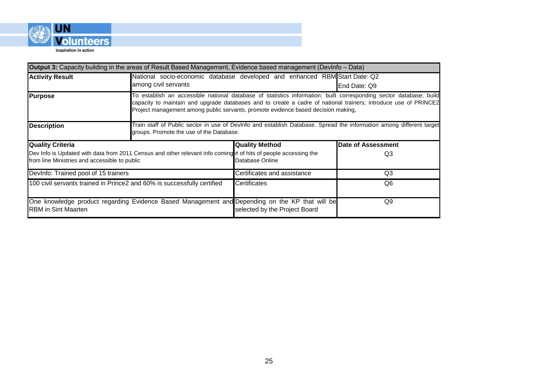

| <b>Output 3:</b> Capacity building in the areas of Result Based Management, Evidence based management (DevInfo – Data)                                           |                                                                                                |                                                                                                                                                                                                                                                                                                                            |                    |  |  |
|------------------------------------------------------------------------------------------------------------------------------------------------------------------|------------------------------------------------------------------------------------------------|----------------------------------------------------------------------------------------------------------------------------------------------------------------------------------------------------------------------------------------------------------------------------------------------------------------------------|--------------------|--|--|
| <b>Activity Result</b>                                                                                                                                           | among civil servants                                                                           | National socio-economic database developed and enhanced RBM Start Date: Q2<br>End Date: Q9                                                                                                                                                                                                                                 |                    |  |  |
| Purpose                                                                                                                                                          |                                                                                                | To establish an accessible national database of statistics information; built corresponding sector database; build<br>capacity to maintain and upgrade databases and to create a cadre of national trainers; introduce use of PRINCE2<br>Project management among public servants, promote evidence based decision making, |                    |  |  |
| <b>Description</b>                                                                                                                                               |                                                                                                | Train staff of Public sector in use of DevInfo and establish Database. Spread the information among different target<br>groups. Promote the use of the Database.                                                                                                                                                           |                    |  |  |
| <b>Quality Criteria</b>                                                                                                                                          |                                                                                                | <b>Quality Method</b>                                                                                                                                                                                                                                                                                                      | Date of Assessment |  |  |
| Dev Info is Updated with data from 2011 Census and other relevant info coming # of hits of people accessing the<br>from line Ministries and accessible to public |                                                                                                | Database Online                                                                                                                                                                                                                                                                                                            | Q3                 |  |  |
| DevInfo: Trained pool of 15 trainers                                                                                                                             |                                                                                                | Certificates and assistance                                                                                                                                                                                                                                                                                                | Q <sub>3</sub>     |  |  |
| 100 civil servants trained in Prince2 and 60% is successfully certified                                                                                          |                                                                                                | <b>Certificates</b>                                                                                                                                                                                                                                                                                                        | Q6                 |  |  |
| <b>RBM</b> in Sint Maarten                                                                                                                                       | One knowledge product regarding Evidence Based Management and Depending on the KP that will be | selected by the Project Board                                                                                                                                                                                                                                                                                              | Q9                 |  |  |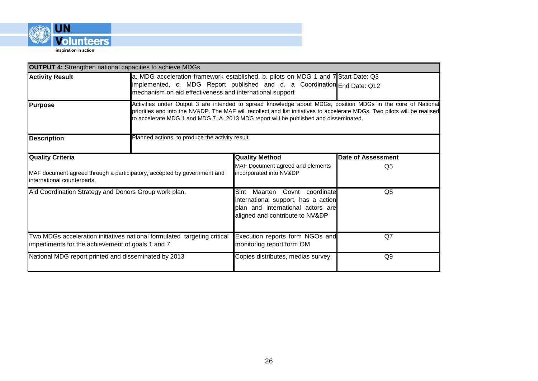

| <b>OUTPUT 4:</b> Strengthen national capacities to achieve MDGs                                                               |                                                                                                                                                                                                                                                                                                                                    |                                                                                                                                                 |                    |  |
|-------------------------------------------------------------------------------------------------------------------------------|------------------------------------------------------------------------------------------------------------------------------------------------------------------------------------------------------------------------------------------------------------------------------------------------------------------------------------|-------------------------------------------------------------------------------------------------------------------------------------------------|--------------------|--|
| <b>Activity Result</b>                                                                                                        | a. MDG acceleration framework established, b. pilots on MDG 1 and 7 Start Date: Q3<br>implemented, c. MDG Report published and d. a Coordination End Date: Q12<br>mechanism on aid effectiveness and international support                                                                                                         |                                                                                                                                                 |                    |  |
| <b>Purpose</b>                                                                                                                | Activities under Output 3 are intended to spread knowledge about MDGs, position MDGs in the core of National<br>priorities and into the NV&DP. The MAF will recollect and list initiatives to accelerate MDGs. Two pilots will be realised<br>to accelerate MDG 1 and MDG 7. A 2013 MDG report will be published and disseminated. |                                                                                                                                                 |                    |  |
| <b>Description</b>                                                                                                            | Planned actions to produce the activity result.                                                                                                                                                                                                                                                                                    |                                                                                                                                                 |                    |  |
| <b>Quality Criteria</b>                                                                                                       |                                                                                                                                                                                                                                                                                                                                    | <b>Quality Method</b>                                                                                                                           | Date of Assessment |  |
| MAF document agreed through a participatory, accepted by government and<br>international counterparts,                        |                                                                                                                                                                                                                                                                                                                                    | MAF Document agreed and elements<br>incorporated into NV&DP                                                                                     | Q <sub>5</sub>     |  |
| Aid Coordination Strategy and Donors Group work plan.                                                                         |                                                                                                                                                                                                                                                                                                                                    | Maarten Govnt coordinate<br>Sint<br>international support, has a action<br>plan and international actors are<br>aligned and contribute to NV&DP | Q <sub>5</sub>     |  |
| Two MDGs acceleration initiatives national formulated targeting critical<br>impediments for the achievement of goals 1 and 7. |                                                                                                                                                                                                                                                                                                                                    | Execution reports form NGOs and<br>monitoring report form OM                                                                                    | Q7                 |  |
| National MDG report printed and disseminated by 2013                                                                          |                                                                                                                                                                                                                                                                                                                                    | Copies distributes, medias survey,                                                                                                              | Q <sub>9</sub>     |  |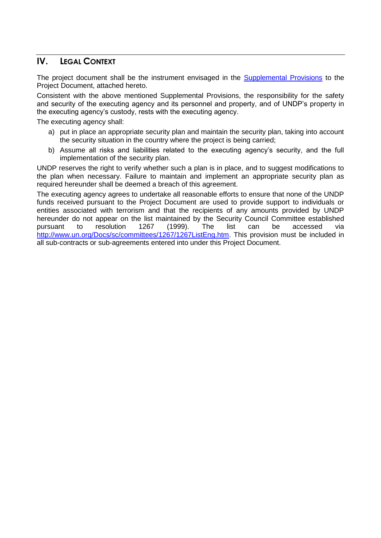# **IV. LEGAL CONTEXT**

The project document shall be the instrument envisaged in the [Supplemental Provisions](http://intra.undp.org/bdp/archive-programming-manual/docs/reference-centre/chapter6/sbaa.pdf) to the Project Document, attached hereto.

Consistent with the above mentioned Supplemental Provisions, the responsibility for the safety and security of the executing agency and its personnel and property, and of UNDP's property in the executing agency's custody, rests with the executing agency.

The executing agency shall:

- a) put in place an appropriate security plan and maintain the security plan, taking into account the security situation in the country where the project is being carried;
- b) Assume all risks and liabilities related to the executing agency's security, and the full implementation of the security plan.

UNDP reserves the right to verify whether such a plan is in place, and to suggest modifications to the plan when necessary. Failure to maintain and implement an appropriate security plan as required hereunder shall be deemed a breach of this agreement.

The executing agency agrees to undertake all reasonable efforts to ensure that none of the UNDP funds received pursuant to the Project Document are used to provide support to individuals or entities associated with terrorism and that the recipients of any amounts provided by UNDP hereunder do not appear on the list maintained by the Security Council Committee established pursuant to resolution 1267 (1999). The list can be accessed via [http://www.un.org/Docs/sc/committees/1267/1267ListEng.htm.](http://www.un.org/Docs/sc/committees/1267/1267ListEng.htm) This provision must be included in all sub-contracts or sub-agreements entered into under this Project Document.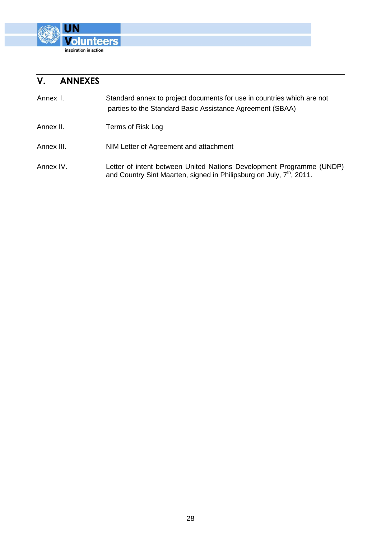

# **V. ANNEXES**

| Annex I.   | Standard annex to project documents for use in countries which are not<br>parties to the Standard Basic Assistance Agreement (SBAA)                      |
|------------|----------------------------------------------------------------------------------------------------------------------------------------------------------|
| Annex II.  | Terms of Risk Log                                                                                                                                        |
| Annex III. | NIM Letter of Agreement and attachment                                                                                                                   |
| Annex IV.  | Letter of intent between United Nations Development Programme (UNDP)<br>and Country Sint Maarten, signed in Philipsburg on July, 7 <sup>th</sup> , 2011. |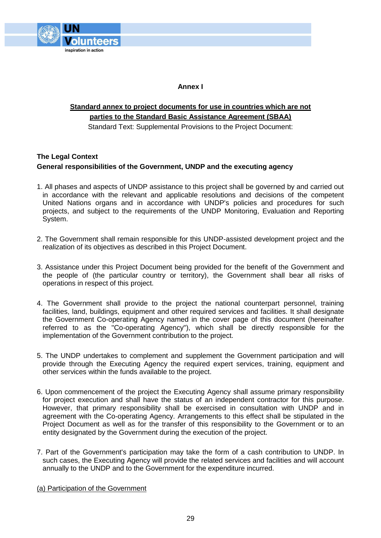

**Annex I**

# **Standard annex to project documents for use in countries which are not parties to the Standard Basic Assistance Agreement (SBAA)**

Standard Text: Supplemental Provisions to the Project Document:

## **The Legal Context General responsibilities of the Government, UNDP and the executing agency**

- 1. All phases and aspects of UNDP assistance to this project shall be governed by and carried out in accordance with the relevant and applicable resolutions and decisions of the competent United Nations organs and in accordance with UNDP's policies and procedures for such projects, and subject to the requirements of the UNDP Monitoring, Evaluation and Reporting System.
- 2. The Government shall remain responsible for this UNDP-assisted development project and the realization of its objectives as described in this Project Document.
- 3. Assistance under this Project Document being provided for the benefit of the Government and the people of (the particular country or territory), the Government shall bear all risks of operations in respect of this project.
- 4. The Government shall provide to the project the national counterpart personnel, training facilities, land, buildings, equipment and other required services and facilities. It shall designate the Government Co-operating Agency named in the cover page of this document (hereinafter referred to as the "Co-operating Agency"), which shall be directly responsible for the implementation of the Government contribution to the project.
- 5. The UNDP undertakes to complement and supplement the Government participation and will provide through the Executing Agency the required expert services, training, equipment and other services within the funds available to the project.
- 6. Upon commencement of the project the Executing Agency shall assume primary responsibility for project execution and shall have the status of an independent contractor for this purpose. However, that primary responsibility shall be exercised in consultation with UNDP and in agreement with the Co-operating Agency. Arrangements to this effect shall be stipulated in the Project Document as well as for the transfer of this responsibility to the Government or to an entity designated by the Government during the execution of the project.
- 7. Part of the Government's participation may take the form of a cash contribution to UNDP. In such cases, the Executing Agency will provide the related services and facilities and will account annually to the UNDP and to the Government for the expenditure incurred.

(a) Participation of the Government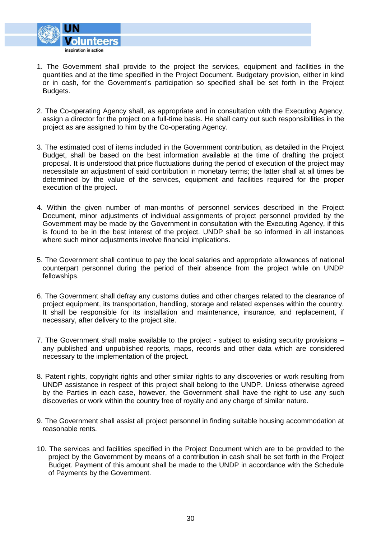

- 1. The Government shall provide to the project the services, equipment and facilities in the quantities and at the time specified in the Project Document. Budgetary provision, either in kind or in cash, for the Government's participation so specified shall be set forth in the Project Budgets.
- 2. The Co-operating Agency shall, as appropriate and in consultation with the Executing Agency, assign a director for the project on a full-time basis. He shall carry out such responsibilities in the project as are assigned to him by the Co-operating Agency.
- 3. The estimated cost of items included in the Government contribution, as detailed in the Project Budget, shall be based on the best information available at the time of drafting the project proposal. It is understood that price fluctuations during the period of execution of the project may necessitate an adjustment of said contribution in monetary terms; the latter shall at all times be determined by the value of the services, equipment and facilities required for the proper execution of the project.
- 4. Within the given number of man-months of personnel services described in the Project Document, minor adjustments of individual assignments of project personnel provided by the Government may be made by the Government in consultation with the Executing Agency, if this is found to be in the best interest of the project. UNDP shall be so informed in all instances where such minor adjustments involve financial implications.
- 5. The Government shall continue to pay the local salaries and appropriate allowances of national counterpart personnel during the period of their absence from the project while on UNDP fellowships.
- 6. The Government shall defray any customs duties and other charges related to the clearance of project equipment, its transportation, handling, storage and related expenses within the country. It shall be responsible for its installation and maintenance, insurance, and replacement, if necessary, after delivery to the project site.
- 7. The Government shall make available to the project subject to existing security provisions any published and unpublished reports, maps, records and other data which are considered necessary to the implementation of the project.
- 8. Patent rights, copyright rights and other similar rights to any discoveries or work resulting from UNDP assistance in respect of this project shall belong to the UNDP. Unless otherwise agreed by the Parties in each case, however, the Government shall have the right to use any such discoveries or work within the country free of royalty and any charge of similar nature.
- 9. The Government shall assist all project personnel in finding suitable housing accommodation at reasonable rents.
- 10. The services and facilities specified in the Project Document which are to be provided to the project by the Government by means of a contribution in cash shall be set forth in the Project Budget. Payment of this amount shall be made to the UNDP in accordance with the Schedule of Payments by the Government.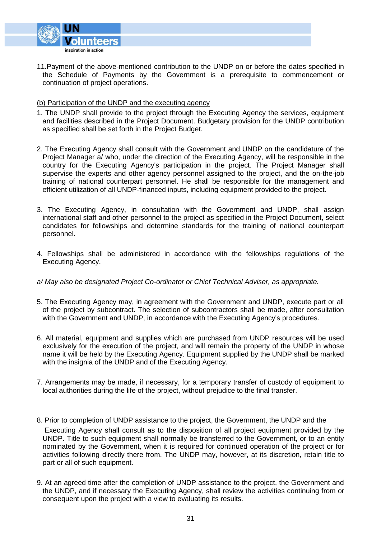

11.Payment of the above-mentioned contribution to the UNDP on or before the dates specified in the Schedule of Payments by the Government is a prerequisite to commencement or continuation of project operations.

#### (b) Participation of the UNDP and the executing agency

- 1. The UNDP shall provide to the project through the Executing Agency the services, equipment and facilities described in the Project Document. Budgetary provision for the UNDP contribution as specified shall be set forth in the Project Budget.
- 2. The Executing Agency shall consult with the Government and UNDP on the candidature of the Project Manager a/ who, under the direction of the Executing Agency, will be responsible in the country for the Executing Agency's participation in the project. The Project Manager shall supervise the experts and other agency personnel assigned to the project, and the on-the-job training of national counterpart personnel. He shall be responsible for the management and efficient utilization of all UNDP-financed inputs, including equipment provided to the project.
- 3. The Executing Agency, in consultation with the Government and UNDP, shall assign international staff and other personnel to the project as specified in the Project Document, select candidates for fellowships and determine standards for the training of national counterpart personnel.
- 4. Fellowships shall be administered in accordance with the fellowships regulations of the Executing Agency.

#### *a/ May also be designated Project Co-ordinator or Chief Technical Adviser, as appropriate.*

- 5. The Executing Agency may, in agreement with the Government and UNDP, execute part or all of the project by subcontract. The selection of subcontractors shall be made, after consultation with the Government and UNDP, in accordance with the Executing Agency's procedures.
- 6. All material, equipment and supplies which are purchased from UNDP resources will be used exclusively for the execution of the project, and will remain the property of the UNDP in whose name it will be held by the Executing Agency. Equipment supplied by the UNDP shall be marked with the insignia of the UNDP and of the Executing Agency.
- 7. Arrangements may be made, if necessary, for a temporary transfer of custody of equipment to local authorities during the life of the project, without prejudice to the final transfer.
- 8. Prior to completion of UNDP assistance to the project, the Government, the UNDP and the Executing Agency shall consult as to the disposition of all project equipment provided by the UNDP. Title to such equipment shall normally be transferred to the Government, or to an entity nominated by the Government, when it is required for continued operation of the project or for activities following directly there from. The UNDP may, however, at its discretion, retain title to part or all of such equipment.
- 9. At an agreed time after the completion of UNDP assistance to the project, the Government and the UNDP, and if necessary the Executing Agency, shall review the activities continuing from or consequent upon the project with a view to evaluating its results.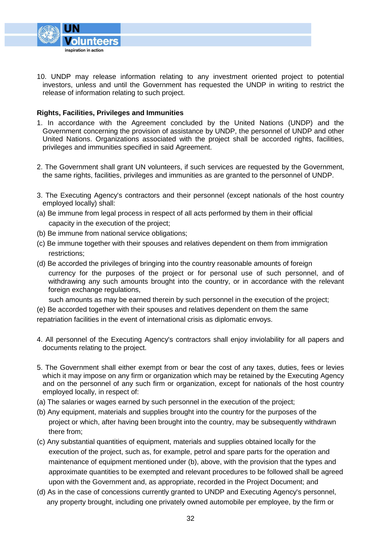

10. UNDP may release information relating to any investment oriented project to potential investors, unless and until the Government has requested the UNDP in writing to restrict the release of information relating to such project.

#### **Rights, Facilities, Privileges and Immunities**

- 1. In accordance with the Agreement concluded by the United Nations (UNDP) and the Government concerning the provision of assistance by UNDP, the personnel of UNDP and other United Nations. Organizations associated with the project shall be accorded rights, facilities, privileges and immunities specified in said Agreement.
- 2. The Government shall grant UN volunteers, if such services are requested by the Government, the same rights, facilities, privileges and immunities as are granted to the personnel of UNDP.
- 3. The Executing Agency's contractors and their personnel (except nationals of the host country employed locally) shall:
- (a) Be immune from legal process in respect of all acts performed by them in their official capacity in the execution of the project;
- (b) Be immune from national service obligations;
- (c) Be immune together with their spouses and relatives dependent on them from immigration restrictions;
- (d) Be accorded the privileges of bringing into the country reasonable amounts of foreign currency for the purposes of the project or for personal use of such personnel, and of withdrawing any such amounts brought into the country, or in accordance with the relevant foreign exchange regulations,

such amounts as may be earned therein by such personnel in the execution of the project;

(e) Be accorded together with their spouses and relatives dependent on them the same

repatriation facilities in the event of international crisis as diplomatic envoys.

- 4. All personnel of the Executing Agency's contractors shall enjoy inviolability for all papers and documents relating to the project.
- 5. The Government shall either exempt from or bear the cost of any taxes, duties, fees or levies which it may impose on any firm or organization which may be retained by the Executing Agency and on the personnel of any such firm or organization, except for nationals of the host country employed locally, in respect of:
- (a) The salaries or wages earned by such personnel in the execution of the project;
- (b) Any equipment, materials and supplies brought into the country for the purposes of the project or which, after having been brought into the country, may be subsequently withdrawn there from;
- (c) Any substantial quantities of equipment, materials and supplies obtained locally for the execution of the project, such as, for example, petrol and spare parts for the operation and maintenance of equipment mentioned under (b), above, with the provision that the types and approximate quantities to be exempted and relevant procedures to be followed shall be agreed upon with the Government and, as appropriate, recorded in the Project Document; and
- (d) As in the case of concessions currently granted to UNDP and Executing Agency's personnel, any property brought, including one privately owned automobile per employee, by the firm or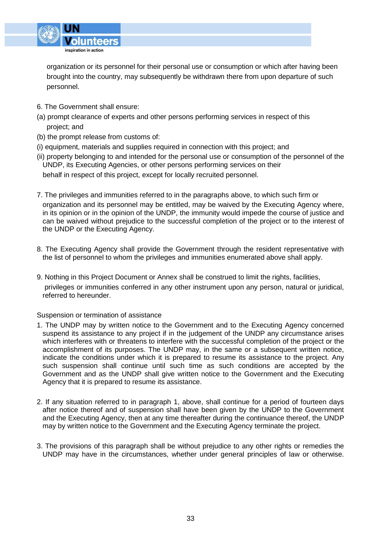

 organization or its personnel for their personal use or consumption or which after having been brought into the country, may subsequently be withdrawn there from upon departure of such personnel.

- 6. The Government shall ensure:
- (a) prompt clearance of experts and other persons performing services in respect of this project; and
- (b) the prompt release from customs of:
- (i) equipment, materials and supplies required in connection with this project; and
- (ii) property belonging to and intended for the personal use or consumption of the personnel of the UNDP, its Executing Agencies, or other persons performing services on their

behalf in respect of this project, except for locally recruited personnel.

- 7. The privileges and immunities referred to in the paragraphs above, to which such firm or organization and its personnel may be entitled, may be waived by the Executing Agency where, in its opinion or in the opinion of the UNDP, the immunity would impede the course of justice and can be waived without prejudice to the successful completion of the project or to the interest of the UNDP or the Executing Agency.
- 8. The Executing Agency shall provide the Government through the resident representative with the list of personnel to whom the privileges and immunities enumerated above shall apply.
- 9. Nothing in this Project Document or Annex shall be construed to limit the rights, facilities, privileges or immunities conferred in any other instrument upon any person, natural or juridical, referred to hereunder.

#### Suspension or termination of assistance

- 1. The UNDP may by written notice to the Government and to the Executing Agency concerned suspend its assistance to any project if in the judgement of the UNDP any circumstance arises which interferes with or threatens to interfere with the successful completion of the project or the accomplishment of its purposes. The UNDP may, in the same or a subsequent written notice, indicate the conditions under which it is prepared to resume its assistance to the project. Any such suspension shall continue until such time as such conditions are accepted by the Government and as the UNDP shall give written notice to the Government and the Executing Agency that it is prepared to resume its assistance.
- 2. If any situation referred to in paragraph 1, above, shall continue for a period of fourteen days after notice thereof and of suspension shall have been given by the UNDP to the Government and the Executing Agency, then at any time thereafter during the continuance thereof, the UNDP may by written notice to the Government and the Executing Agency terminate the project.
- 3. The provisions of this paragraph shall be without prejudice to any other rights or remedies the UNDP may have in the circumstances, whether under general principles of law or otherwise.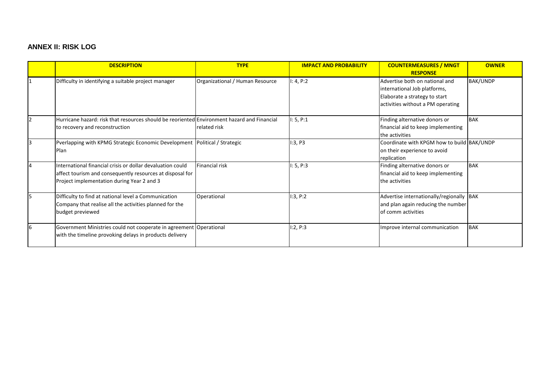# **ANNEX II: RISK LOG**

|    | <b>DESCRIPTION</b>                                                                                                                                                    | <b>TYPE</b>                     | <b>IMPACT AND PROBABILITY</b> | <b>COUNTERMEASURES / MNGT</b><br><b>RESPONSE</b>                                                                                     | <b>OWNER</b>    |
|----|-----------------------------------------------------------------------------------------------------------------------------------------------------------------------|---------------------------------|-------------------------------|--------------------------------------------------------------------------------------------------------------------------------------|-----------------|
|    | Difficulty in identifying a suitable project manager                                                                                                                  | Organizational / Human Resource | I: 4, P:2                     | Advertise both on national and<br>international Job platforms,<br>Elaborate a strategy to start<br>activities without a PM operating | <b>BAK/UNDP</b> |
| 12 | Hurricane hazard: risk that resources should be reoriented Environment hazard and Financial<br>to recovery and reconstruction                                         | related risk                    | 1: 5, P:1                     | Finding alternative donors or<br>financial aid to keep implementing<br>the activities                                                | <b>BAK</b>      |
|    | Pverlapping with KPMG Strategic Economic Development<br><b>Plan</b>                                                                                                   | Political / Strategic           | 1:3, P3                       | Coordinate with KPGM how to build BAK/UNDP<br>on their experience to avoid<br>replication                                            |                 |
| 4  | International financial crisis or dollar devaluation could<br>affect tourism and consequently resources at disposal for<br>Project implementation during Year 2 and 3 | <b>Financial risk</b>           | I: 5, P:3                     | Finding alternative donors or<br>financial aid to keep implementing<br>the activities                                                | <b>BAK</b>      |
|    | Difficulty to find at national level a Communication<br>Company that realise all the activities planned for the<br>budget previewed                                   | Operational                     | I:3, P:2                      | Advertise internationally/regionally BAK<br>and plan again reducing the number<br>of comm activities                                 |                 |
| 6  | Government Ministries could not cooperate in agreement Operational<br>with the timeline provoking delays in products delivery                                         |                                 | I:2, P:3                      | Improve internal communication                                                                                                       | <b>BAK</b>      |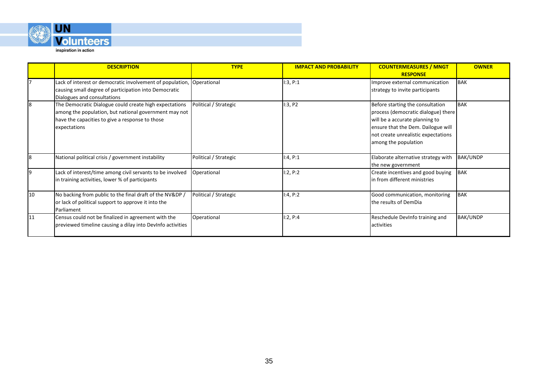

inspiration in action

|    | <b>DESCRIPTION</b>                                                                                                                                                                 | <b>TYPE</b>           | <b>IMPACT AND PROBABILITY</b> | <b>COUNTERMEASURES / MNGT</b><br><b>RESPONSE</b>                                                                                                                                                               | <b>OWNER</b>    |
|----|------------------------------------------------------------------------------------------------------------------------------------------------------------------------------------|-----------------------|-------------------------------|----------------------------------------------------------------------------------------------------------------------------------------------------------------------------------------------------------------|-----------------|
|    | Lack of interest or democratic involvement of population, Operational<br>causing small degree of participation into Democratic<br>Dialogues and consultations                      |                       | 1:3, P:1                      | Improve external communication<br>strategy to invite participants                                                                                                                                              | <b>BAK</b>      |
| 8  | The Democratic Dialogue could create high expectations<br>among the population, but national government may not<br>have the capacities to give a response to those<br>expectations | Political / Strategic | 1:3, P2                       | Before starting the consultation<br>process (democratic dialogue) there<br>will be a accurate planning to<br>ensure that the Dem. Dailogue will<br>not create unrealistic expectations<br>among the population | <b>BAK</b>      |
| 8  | National political crisis / government instability                                                                                                                                 | Political / Strategic | 1:4, P:1                      | Elaborate alternative strategy with<br>the new government                                                                                                                                                      | <b>BAK/UNDP</b> |
|    | Lack of interest/time among civil servants to be involved<br>in training activities, lower % of participants                                                                       | Operational           | 1:2, P:2                      | Create incentives and good buying<br>In from different ministries                                                                                                                                              | <b>BAK</b>      |
| 10 | No backing from public to the final draft of the NV&DP /<br>or lack of political support to approve it into the<br>Parliament                                                      | Political / Strategic | 1:4, P:2                      | Good communication, monitoring<br>the results of DemDia                                                                                                                                                        | <b>BAK</b>      |
| 11 | Census could not be finalized in agreement with the<br>previewed timeline causing a dilay into DevInfo activities                                                                  | Operational           | 1:2, P:4                      | Reschedule DevInfo training and<br>activities                                                                                                                                                                  | <b>BAK/UNDP</b> |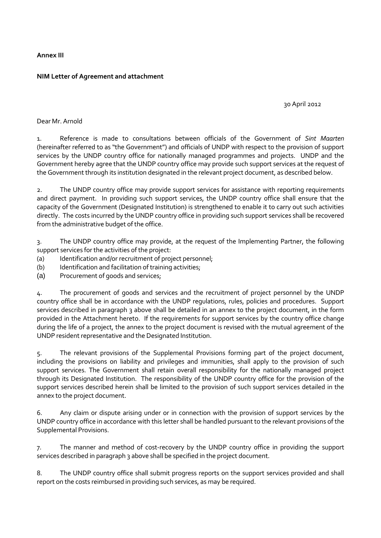**Annex III** 

#### **NIM Letter of Agreement and attachment**

30 April 2012

Dear Mr. Arnold

1. Reference is made to consultations between officials of the Government of *Sint Maarten* (hereinafter referred to as "the Government") and officials of UNDP with respect to the provision of support services by the UNDP country office for nationally managed programmes and projects. UNDP and the Government hereby agree that the UNDP country office may provide such support services at the request of the Government through its institution designated in the relevant project document, as described below.

2. The UNDP country office may provide support services for assistance with reporting requirements and direct payment. In providing such support services, the UNDP country office shall ensure that the capacity of the Government (Designated Institution) is strengthened to enable it to carry out such activities directly. The costs incurred by the UNDP country office in providing such support services shall be recovered from the administrative budget of the office.

3. The UNDP country office may provide, at the request of the Implementing Partner, the following support services for the activities of the project:

- (a) Identification and/or recruitment of project personnel;
- (b) Identification and facilitation of training activities;
- (a) Procurement of goods and services;

4. The procurement of goods and services and the recruitment of project personnel by the UNDP country office shall be in accordance with the UNDP regulations, rules, policies and procedures. Support services described in paragraph 3 above shall be detailed in an annex to the project document, in the form provided in the Attachment hereto. If the requirements for support services by the country office change during the life of a project, the annex to the project document is revised with the mutual agreement of the UNDP resident representative and the Designated Institution.

5. The relevant provisions of the Supplemental Provisions forming part of the project document, including the provisions on liability and privileges and immunities, shall apply to the provision of such support services. The Government shall retain overall responsibility for the nationally managed project through its Designated Institution. The responsibility of the UNDP country office for the provision of the support services described herein shall be limited to the provision of such support services detailed in the annex to the project document.

6. Any claim or dispute arising under or in connection with the provision of support services by the UNDP country office in accordance with this letter shall be handled pursuant to the relevant provisions of the Supplemental Provisions.

7. The manner and method of cost-recovery by the UNDP country office in providing the support services described in paragraph 3 above shall be specified in the project document.

8. The UNDP country office shall submit progress reports on the support services provided and shall report on the costs reimbursed in providing such services, as may be required.